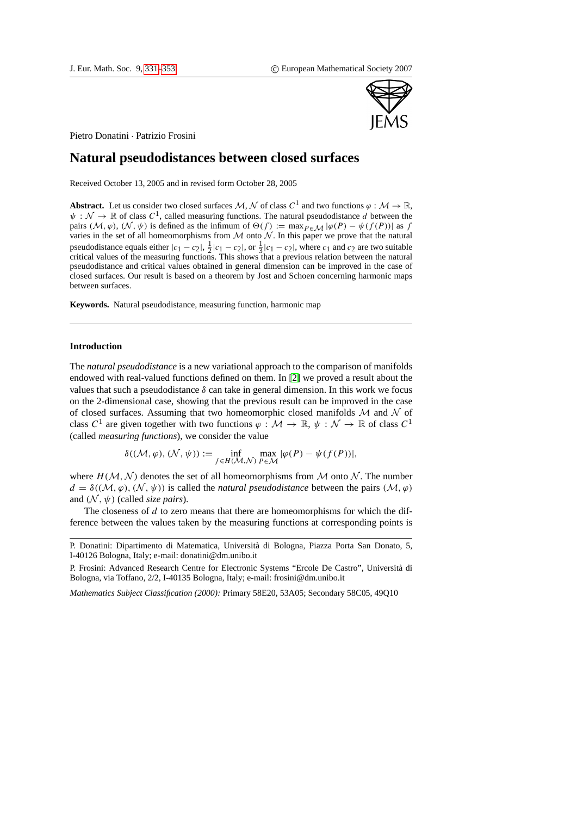

Pietro Donatini · Patrizio Frosini

# **Natural pseudodistances between closed surfaces**

Received October 13, 2005 and in revised form October 28, 2005

**Abstract.** Let us consider two closed surfaces M, N of class  $C^1$  and two functions  $\varphi : \mathcal{M} \to \mathbb{R}$ ,  $\psi : \mathcal{N} \to \mathbb{R}$  of class  $C^1$ , called measuring functions. The natural pseudodistance d between the pairs ( $M, \varphi$ ), ( $N, \psi$ ) is defined as the infimum of  $\Theta(f) := \max_{P \in \mathcal{M}} |\varphi(P) - \psi(f(P))|$  as f varies in the set of all homeomorphisms from  $M$  onto  $N$ . In this paper we prove that the natural pseudodistance equals either  $|c_1 - c_2|$ ,  $\frac{1}{2}|c_1 - c_2|$ , or  $\frac{1}{3}|c_1 - c_2|$ , where  $c_1$  and  $c_2$  are two suitable critical values of the measuring functions. This shows that a previous relation between the natural pseudodistance and critical values obtained in general dimension can be improved in the case of closed surfaces. Our result is based on a theorem by Jost and Schoen concerning harmonic maps between surfaces.

**Keywords.** Natural pseudodistance, measuring function, harmonic map

# **Introduction**

The *natural pseudodistance* is a new variational approach to the comparison of manifolds endowed with real-valued functions defined on them. In [\[2\]](#page-21-0) we proved a result about the values that such a pseudodistance  $\delta$  can take in general dimension. In this work we focus on the 2-dimensional case, showing that the previous result can be improved in the case of closed surfaces. Assuming that two homeomorphic closed manifolds  $M$  and  $N$  of class  $C^1$  are given together with two functions  $\varphi : \mathcal{M} \to \mathbb{R}, \psi : \mathcal{N} \to \mathbb{R}$  of class  $C^1$ (called *measuring functions*), we consider the value

$$
\delta((\mathcal{M}, \varphi), (\mathcal{N}, \psi)) := \inf_{f \in H(\mathcal{M}, \mathcal{N})} \max_{P \in \mathcal{M}} |\varphi(P) - \psi(f(P))|,
$$

where  $H(M, N)$  denotes the set of all homeomorphisms from M onto N. The number  $d = \delta((\mathcal{M}, \varphi), (\mathcal{N}, \psi))$  is called the *natural pseudodistance* between the pairs  $(\mathcal{M}, \varphi)$ and  $(N, \psi)$  (called *size pairs*).

The closeness of  $d$  to zero means that there are homeomorphisms for which the difference between the values taken by the measuring functions at corresponding points is

*Mathematics Subject Classification (2000):* Primary 58E20, 53A05; Secondary 58C05, 49Q10

P. Donatini: Dipartimento di Matematica, Universita di Bologna, Piazza Porta San Donato, 5, ` I-40126 Bologna, Italy; e-mail: donatini@dm.unibo.it

P. Frosini: Advanced Research Centre for Electronic Systems "Ercole De Castro", Universita di ` Bologna, via Toffano, 2/2, I-40135 Bologna, Italy; e-mail: frosini@dm.unibo.it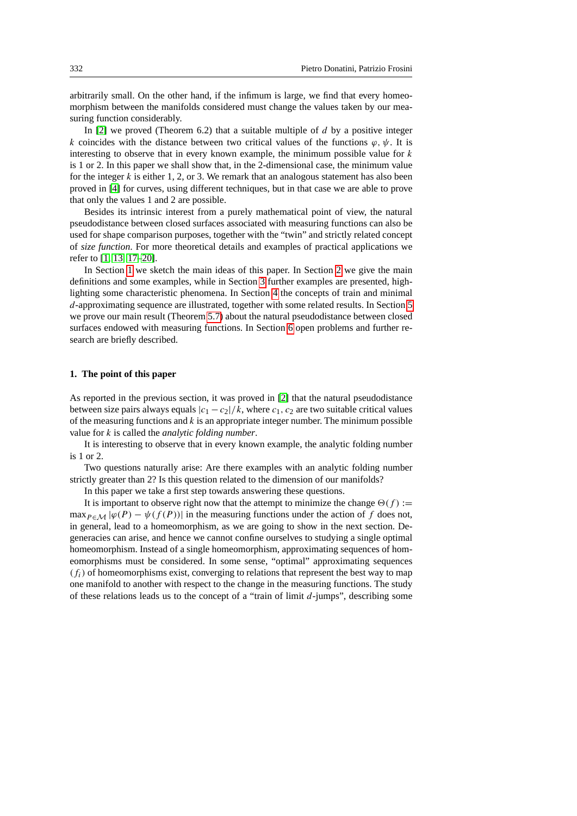arbitrarily small. On the other hand, if the infimum is large, we find that every homeomorphism between the manifolds considered must change the values taken by our measuring function considerably.

In  $[2]$  we proved (Theorem 6.2) that a suitable multiple of d by a positive integer k coincides with the distance between two critical values of the functions  $\varphi, \psi$ . It is interesting to observe that in every known example, the minimum possible value for  $k$ is 1 or 2. In this paper we shall show that, in the 2-dimensional case, the minimum value for the integer k is either 1, 2, or 3. We remark that an analogous statement has also been proved in [\[4\]](#page-21-1) for curves, using different techniques, but in that case we are able to prove that only the values 1 and 2 are possible.

Besides its intrinsic interest from a purely mathematical point of view, the natural pseudodistance between closed surfaces associated with measuring functions can also be used for shape comparison purposes, together with the "twin" and strictly related concept of *size function*. For more theoretical details and examples of practical applications we refer to [\[1,](#page-21-2) [13,](#page-22-1) [17–](#page-22-2)[20\]](#page-22-3).

In Section [1](#page-1-0) we sketch the main ideas of this paper. In Section [2](#page-2-0) we give the main definitions and some examples, while in Section [3](#page-5-0) further examples are presented, highlighting some characteristic phenomena. In Section [4](#page-9-0) the concepts of train and minimal d-approximating sequence are illustrated, together with some related results. In Section [5](#page-13-0) we prove our main result (Theorem [5.7\)](#page-4-0) about the natural pseudodistance between closed surfaces endowed with measuring functions. In Section [6](#page-20-0) open problems and further research are briefly described.

#### <span id="page-1-0"></span>**1. The point of this paper**

As reported in the previous section, it was proved in [\[2\]](#page-21-0) that the natural pseudodistance between size pairs always equals  $|c_1 - c_2|/k$ , where  $c_1, c_2$  are two suitable critical values of the measuring functions and  $k$  is an appropriate integer number. The minimum possible value for k is called the *analytic folding number*.

It is interesting to observe that in every known example, the analytic folding number is 1 or 2.

Two questions naturally arise: Are there examples with an analytic folding number strictly greater than 2? Is this question related to the dimension of our manifolds?

In this paper we take a first step towards answering these questions.

It is important to observe right now that the attempt to minimize the change  $\Theta(f) :=$ max $_{P \in \mathcal{M}} |\varphi(P) - \psi(f(P))|$  in the measuring functions under the action of f does not, in general, lead to a homeomorphism, as we are going to show in the next section. Degeneracies can arise, and hence we cannot confine ourselves to studying a single optimal homeomorphism. Instead of a single homeomorphism, approximating sequences of homeomorphisms must be considered. In some sense, "optimal" approximating sequences  $(f_i)$  of homeomorphisms exist, converging to relations that represent the best way to map one manifold to another with respect to the change in the measuring functions. The study of these relations leads us to the concept of a "train of limit  $d$ -jumps", describing some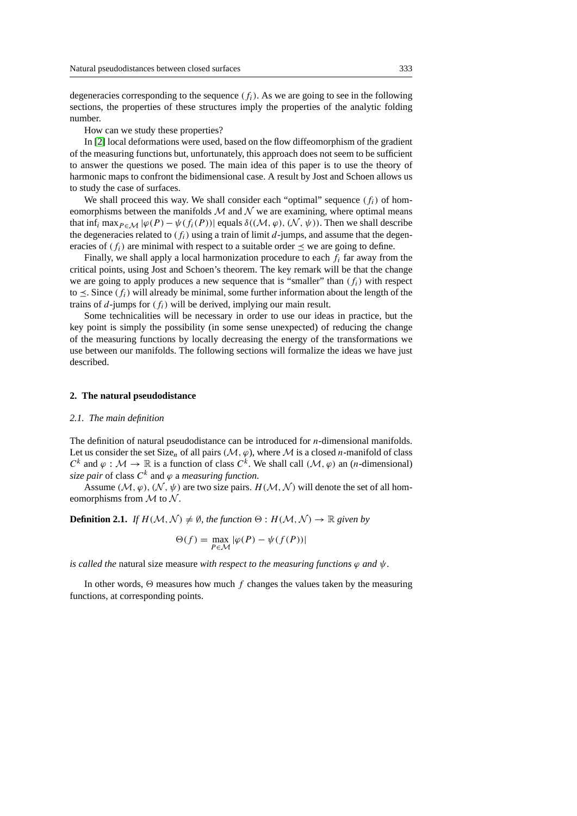degeneracies corresponding to the sequence  $(f<sub>i</sub>)$ . As we are going to see in the following sections, the properties of these structures imply the properties of the analytic folding number.

How can we study these properties?

In [\[2\]](#page-21-0) local deformations were used, based on the flow diffeomorphism of the gradient of the measuring functions but, unfortunately, this approach does not seem to be sufficient to answer the questions we posed. The main idea of this paper is to use the theory of harmonic maps to confront the bidimensional case. A result by Jost and Schoen allows us to study the case of surfaces.

We shall proceed this way. We shall consider each "optimal" sequence  $(f_i)$  of homeomorphisms between the manifolds  $\mathcal M$  and  $\mathcal N$  we are examining, where optimal means that inf<sub>i</sub> max $_{P \in \mathcal{M}} |\varphi(P) - \psi(f_i(P))|$  equals  $\delta((\mathcal{M}, \varphi), (\mathcal{N}, \psi))$ . Then we shall describe the degeneracies related to  $(f_i)$  using a train of limit d-jumps, and assume that the degeneracies of  $(f_i)$  are minimal with respect to a suitable order  $\prec$  we are going to define.

Finally, we shall apply a local harmonization procedure to each  $f_i$  far away from the critical points, using Jost and Schoen's theorem. The key remark will be that the change we are going to apply produces a new sequence that is "smaller" than  $(f_i)$  with respect to  $\leq$ . Since  $(f_i)$  will already be minimal, some further information about the length of the trains of d-jumps for  $(f_i)$  will be derived, implying our main result.

Some technicalities will be necessary in order to use our ideas in practice, but the key point is simply the possibility (in some sense unexpected) of reducing the change of the measuring functions by locally decreasing the energy of the transformations we use between our manifolds. The following sections will formalize the ideas we have just described.

# <span id="page-2-0"></span>**2. The natural pseudodistance**

#### *2.1. The main definition*

The definition of natural pseudodistance can be introduced for *n*-dimensional manifolds. Let us consider the set Size<sub>n</sub> of all pairs ( $M$ ,  $\varphi$ ), where M is a closed *n*-manifold of class  $C^k$  and  $\varphi : \mathcal{M} \to \mathbb{R}$  is a function of class  $C^k$ . We shall call  $(\mathcal{M}, \varphi)$  an  $(n$ -dimensional)  $\emph{size pair}$  of class  $C^{k}$  and  $\varphi$  a *measuring function*.

Assume  $(M, \varphi), (N, \psi)$  are two size pairs.  $H(M, \mathcal{N})$  will denote the set of all homeomorphisms from  $M$  to  $N$ .

<span id="page-2-2"></span>**Definition 2.1.** *If*  $H(M, N) \neq \emptyset$ *, the function*  $\Theta : H(M, N) \rightarrow \mathbb{R}$  *given by* 

$$
\Theta(f) = \max_{P \in \mathcal{M}} |\varphi(P) - \psi(f(P))|
$$

*is called the* natural size measure *with respect to the measuring functions*  $\varphi$  *and*  $\psi$ *.* 

<span id="page-2-1"></span>In other words,  $\Theta$  measures how much f changes the values taken by the measuring functions, at corresponding points.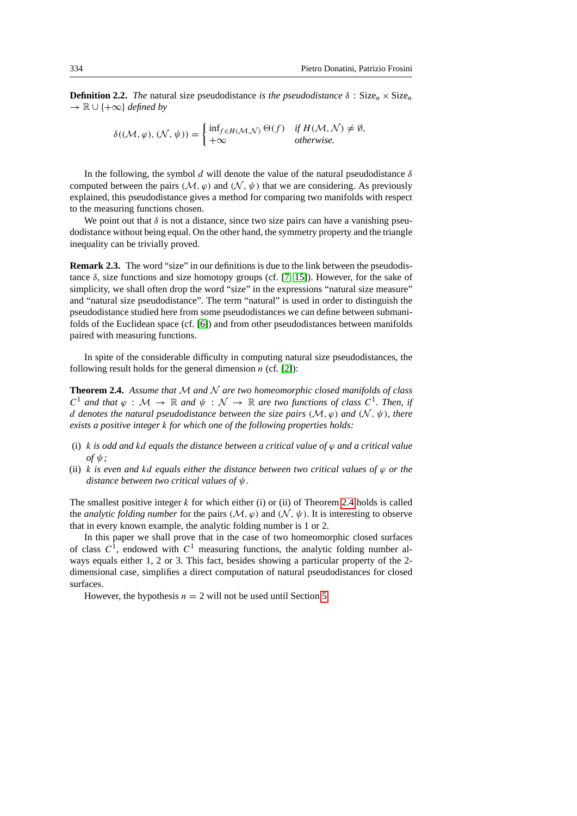**Definition 2.2.** *The* natural size pseudodistance *is the pseudodistance*  $\delta$  : Size<sub>n</sub>  $\times$  Size<sub>n</sub> → R ∪ {+∞} *defined by*

$$
\delta((\mathcal{M}, \varphi), (\mathcal{N}, \psi)) = \begin{cases} \inf_{f \in H(\mathcal{M}, \mathcal{N})} \Theta(f) & \text{if } H(\mathcal{M}, \mathcal{N}) \neq \emptyset, \\ +\infty & \text{otherwise.} \end{cases}
$$

In the following, the symbol d will denote the value of the natural pseudodistance  $\delta$ computed between the pairs ( $M$ ,  $\varphi$ ) and ( $\mathcal{N}$ ,  $\psi$ ) that we are considering. As previously explained, this pseudodistance gives a method for comparing two manifolds with respect to the measuring functions chosen.

We point out that  $\delta$  is not a distance, since two size pairs can have a vanishing pseudodistance without being equal. On the other hand, the symmetry property and the triangle inequality can be trivially proved.

<span id="page-3-1"></span>**Remark 2.3.** The word "size" in our definitions is due to the link between the pseudodistance  $\delta$ , size functions and size homotopy groups (cf. [\[7,](#page-21-3) [15\]](#page-22-4)). However, for the sake of simplicity, we shall often drop the word "size" in the expressions "natural size measure" and "natural size pseudodistance". The term "natural" is used in order to distinguish the pseudodistance studied here from some pseudodistances we can define between submanifolds of the Euclidean space (cf. [\[6\]](#page-21-4)) and from other pseudodistances between manifolds paired with measuring functions.

In spite of the considerable difficulty in computing natural size pseudodistances, the following result holds for the general dimension  $n$  (cf. [\[2\]](#page-21-0)):

<span id="page-3-0"></span>**Theorem 2.4.** *Assume that* M *and* N *are two homeomorphic closed manifolds of class*  $C^1$  and that  $\varphi : \mathcal{M} \to \mathbb{R}$  and  $\psi : \mathcal{N} \to \mathbb{R}$  are two functions of class  $C^1$ . Then, if d denotes the natural pseudodistance between the size pairs  $(M, \varphi)$  and  $(N, \psi)$ , there *exists a positive integer* k *for which one of the following properties holds:*

- (i) k *is odd and* kd *equals the distance between a critical value of* ϕ *and a critical value*  $of$   $\psi$ ;
- (ii) k *is even and kd equals either the distance between two critical values of*  $\varphi$  *or the distance between two critical values of* ψ*.*

The smallest positive integer  $k$  for which either (i) or (ii) of Theorem [2.4](#page-3-0) holds is called the *analytic folding number* for the pairs  $(M, \varphi)$  and  $(N, \psi)$ . It is interesting to observe that in every known example, the analytic folding number is 1 or 2.

In this paper we shall prove that in the case of two homeomorphic closed surfaces of class  $C^1$ , endowed with  $C^1$  measuring functions, the analytic folding number always equals either 1, 2 or 3. This fact, besides showing a particular property of the 2 dimensional case, simplifies a direct computation of natural pseudodistances for closed surfaces.

However, the hypothesis  $n = 2$  will not be used until Section [5.](#page-13-0)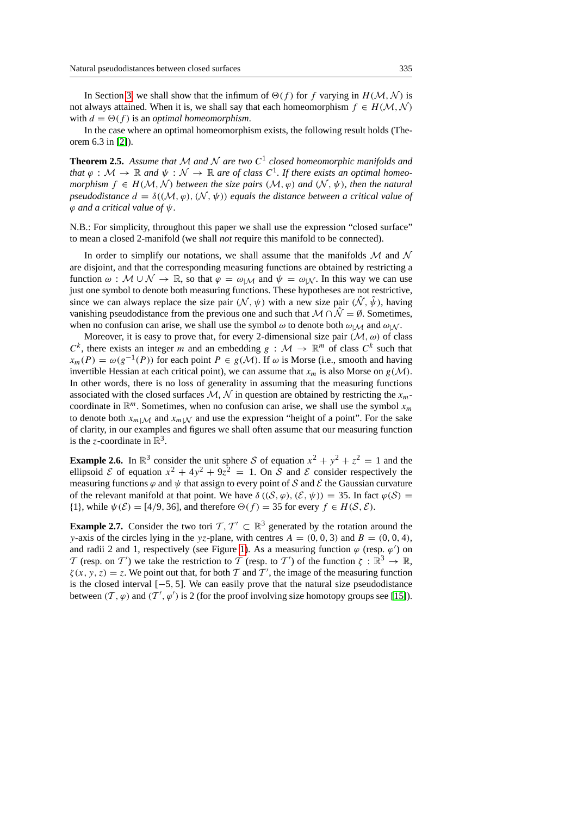In Section [3,](#page-5-0) we shall show that the infimum of  $\Theta(f)$  for f varying in  $H(M, N)$  is not always attained. When it is, we shall say that each homeomorphism  $f \in H(\mathcal{M}, \mathcal{N})$ with  $d = \Theta(f)$  is an *optimal homeomorphism*.

In the case where an optimal homeomorphism exists, the following result holds (Theorem 6.3 in [\[2\]](#page-21-0)).

**Theorem 2.5.** Assume that M and N are two  $C^1$  closed homeomorphic manifolds and *that*  $\varphi : \mathcal{M} \to \mathbb{R}$  and  $\psi : \mathcal{N} \to \mathbb{R}$  are of class  $C^1$ . If there exists an optimal homeo*morphism*  $f \in H(M, N)$  *between the size pairs*  $(M, \varphi)$  *and*  $(N, \psi)$ *, then the natural pseudodistance*  $d = \delta((\mathcal{M}, \varphi), (\mathcal{N}, \psi))$  *equals the distance between a critical value of* ϕ *and a critical value of* ψ*.*

N.B.: For simplicity, throughout this paper we shall use the expression "closed surface" to mean a closed 2-manifold (we shall *not* require this manifold to be connected).

In order to simplify our notations, we shall assume that the manifolds  $\mathcal M$  and  $\mathcal N$ are disjoint, and that the corresponding measuring functions are obtained by restricting a function  $\omega : \mathcal{M} \cup \mathcal{N} \to \mathbb{R}$ , so that  $\varphi = \omega_{\mathcal{M}}$  and  $\psi = \omega_{\mathcal{N}}$ . In this way we can use just one symbol to denote both measuring functions. These hypotheses are not restrictive, since we can always replace the size pair  $(N, \psi)$  with a new size pair  $(N, \hat{\psi})$ , having vanishing pseudodistance from the previous one and such that  $M \cap \hat{N} = \emptyset$ . Sometimes, when no confusion can arise, we shall use the symbol  $\omega$  to denote both  $\omega_{\text{M}}$  and  $\omega_{\text{M}}$ .

Moreover, it is easy to prove that, for every 2-dimensional size pair  $(M, \omega)$  of class  $C^k$ , there exists an integer m and an embedding  $g : \mathcal{M} \to \mathbb{R}^m$  of class  $C^k$  such that  $x_m(P) = \omega(g^{-1}(P))$  for each point  $P \in g(M)$ . If  $\omega$  is Morse (i.e., smooth and having invertible Hessian at each critical point), we can assume that  $x_m$  is also Morse on  $g(\mathcal{M})$ . In other words, there is no loss of generality in assuming that the measuring functions associated with the closed surfaces  $M, N$  in question are obtained by restricting the  $x_m$ coordinate in  $\mathbb{R}^m$ . Sometimes, when no confusion can arise, we shall use the symbol  $x_m$ to denote both  $x_{m|M}$  and  $x_{m|M}$  and use the expression "height of a point". For the sake of clarity, in our examples and figures we shall often assume that our measuring function is the z-coordinate in  $\mathbb{R}^3$ .

<span id="page-4-1"></span>**Example 2.6.** In  $\mathbb{R}^3$  consider the unit sphere S of equation  $x^2 + y^2 + z^2 = 1$  and the ellipsoid  $\mathcal E$  of equation  $x^2 + 4y^2 + 9z^2 = 1$ . On  $\mathcal S$  and  $\mathcal E$  consider respectively the measuring functions  $\varphi$  and  $\psi$  that assign to every point of S and E the Gaussian curvature of the relevant manifold at that point. We have  $\delta((\mathcal{S}, \varphi), (\mathcal{E}, \psi)) = 35$ . In fact  $\varphi(\mathcal{S}) =$ {1}, while  $\psi(\mathcal{E}) = [4/9, 36]$ , and therefore  $\Theta(f) = 35$  for every  $f \in H(\mathcal{S}, \mathcal{E})$ .

<span id="page-4-0"></span>**Example 2.7.** Consider the two tori  $\mathcal{T}, \mathcal{T}' \subset \mathbb{R}^3$  generated by the rotation around the y-axis of the circles lying in the yz-plane, with centres  $A = (0, 0, 3)$  and  $B = (0, 0, 4)$ , and radii 2 and 1, respectively (see Figure [1\)](#page-5-1). As a measuring function  $\varphi$  (resp.  $\varphi'$ ) on T (resp. on T') we take the restriction to T (resp. to T') of the function  $\zeta : \mathbb{R}^3 \to \mathbb{R}$ ,  $\zeta(x, y, z) = z$ . We point out that, for both T and T', the image of the measuring function is the closed interval  $[-5, 5]$ . We can easily prove that the natural size pseudodistance between  $(T, \varphi)$  and  $(T', \varphi')$  is 2 (for the proof involving size homotopy groups see [\[15\]](#page-22-4)).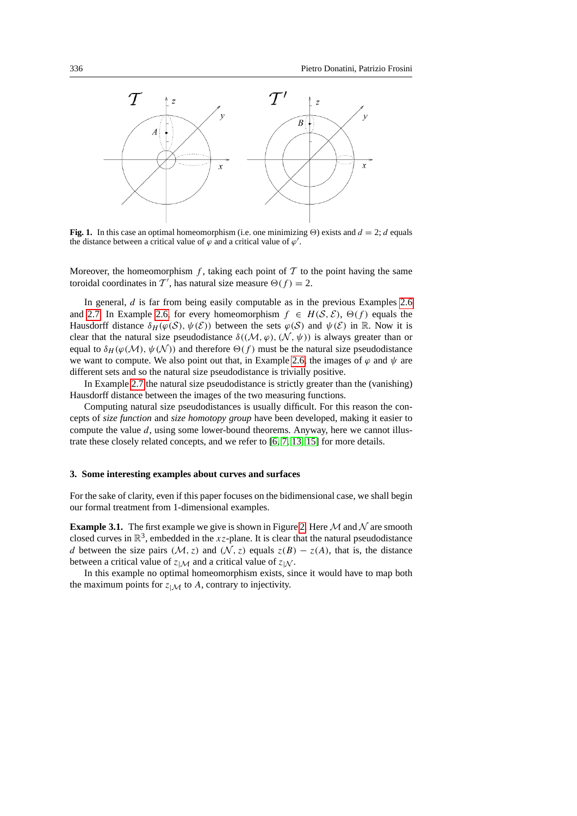

<span id="page-5-1"></span>**Fig. 1.** In this case an optimal homeomorphism (i.e. one minimizing  $\Theta$ ) exists and  $d = 2$ ; d equals the distance between a critical value of  $\varphi$  and a critical value of  $\varphi'$ .

Moreover, the homeomorphism f, taking each point of  $\mathcal T$  to the point having the same toroidal coordinates in  $\mathcal{T}'$ , has natural size measure  $\Theta(f) = 2$ .

In general,  $d$  is far from being easily computable as in the previous Examples [2.6](#page-4-1) and [2.7.](#page-4-0) In Example [2.6,](#page-4-1) for every homeomorphism  $f \in H(S, \mathcal{E})$ ,  $\Theta(f)$  equals the Hausdorff distance  $\delta_H(\varphi(S), \psi(\mathcal{E}))$  between the sets  $\varphi(S)$  and  $\psi(\mathcal{E})$  in R. Now it is clear that the natural size pseudodistance  $\delta((\mathcal{M}, \varphi), (\mathcal{N}, \psi))$  is always greater than or equal to  $\delta_H(\varphi(\mathcal{M}), \psi(\mathcal{N}))$  and therefore  $\Theta(f)$  must be the natural size pseudodistance we want to compute. We also point out that, in Example [2.6,](#page-4-1) the images of  $\varphi$  and  $\psi$  are different sets and so the natural size pseudodistance is trivially positive.

In Example [2.7](#page-4-0) the natural size pseudodistance is strictly greater than the (vanishing) Hausdorff distance between the images of the two measuring functions.

Computing natural size pseudodistances is usually difficult. For this reason the concepts of *size function* and *size homotopy group* have been developed, making it easier to compute the value  $d$ , using some lower-bound theorems. Anyway, here we cannot illustrate these closely related concepts, and we refer to [\[6,](#page-21-4) [7,](#page-21-3) [13,](#page-22-1) [15\]](#page-22-4) for more details.

## <span id="page-5-0"></span>**3. Some interesting examples about curves and surfaces**

For the sake of clarity, even if this paper focuses on the bidimensional case, we shall begin our formal treatment from 1-dimensional examples.

**Example 3.1.** The first example we give is shown in Figure [2.](#page-6-0) Here  $\mathcal M$  and  $\mathcal N$  are smooth closed curves in  $\mathbb{R}^3$ , embedded in the xz-plane. It is clear that the natural pseudodistance d between the size pairs ( $M$ , z) and ( $N$ , z) equals  $z(B) - z(A)$ , that is, the distance between a critical value of  $z|\mathcal{M}$  and a critical value of  $z|\mathcal{N}$ .

In this example no optimal homeomorphism exists, since it would have to map both the maximum points for  $z_{\mid \mathcal{M}}$  to A, contrary to injectivity.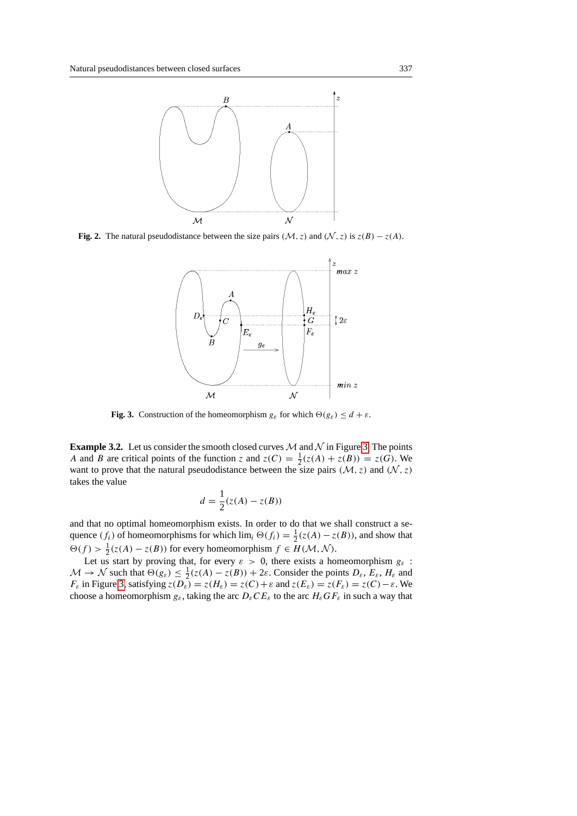

<span id="page-6-0"></span>**Fig. 2.** The natural pseudodistance between the size pairs ( $M$ , z) and ( $N$ , z) is  $z(B) - z(A)$ .



<span id="page-6-1"></span>**Fig. 3.** Construction of the homeomorphism  $g_{\varepsilon}$  for which  $\Theta(g_{\varepsilon}) \leq d + \varepsilon$ .

**Example [3.](#page-6-1)2.** Let us consider the smooth closed curves  $M$  and  $N$  in Figure 3. The points A and B are critical points of the function z and  $z(C) = \frac{1}{2}(z(A) + z(B)) = z(G)$ . We want to prove that the natural pseudodistance between the size pairs  $(M, z)$  and  $(N, z)$ takes the value

$$
d = \frac{1}{2}(z(A) - z(B))
$$

and that no optimal homeomorphism exists. In order to do that we shall construct a sequence  $(f_i)$  of homeomorphisms for which  $\lim_i \Theta(f_i) = \frac{1}{2}(z(A) - z(B))$ , and show that  $\Theta(f) > \frac{1}{2}(z(A) - z(B))$  for every homeomorphism  $f \in H(\mathcal{M}, \mathcal{N})$ .

Let us start by proving that, for every  $\varepsilon > 0$ , there exists a homeomorphism  $g_{\varepsilon}$ :  $M \to N$  such that  $\Theta(g_{\varepsilon}) \leq \frac{1}{2}(z(A) - z(B)) + 2\varepsilon$ . Consider the points  $D_{\varepsilon}$ ,  $E_{\varepsilon}$ ,  $H_{\varepsilon}$  and  $F_{\varepsilon}$  in Figure [3,](#page-6-1) satisfying  $z(D_{\varepsilon}) = z(H_{\varepsilon}) = z(C) + \varepsilon$  and  $z(E_{\varepsilon}) = z(F_{\varepsilon}) = z(C) - \varepsilon$ . We choose a homeomorphism  $g_{\varepsilon}$ , taking the arc  $D_{\varepsilon}CE_{\varepsilon}$  to the arc  $H_{\varepsilon}GE_{\varepsilon}$  in such a way that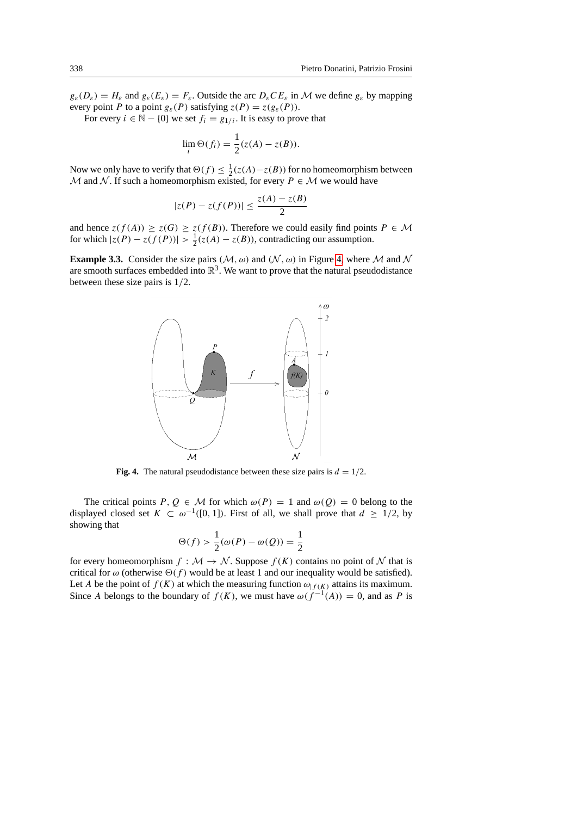$g_{\varepsilon}(D_{\varepsilon}) = H_{\varepsilon}$  and  $g_{\varepsilon}(E_{\varepsilon}) = F_{\varepsilon}$ . Outside the arc  $D_{\varepsilon}CE_{\varepsilon}$  in M we define  $g_{\varepsilon}$  by mapping every point P to a point  $g_{\varepsilon}(P)$  satisfying  $z(P) = z(g_{\varepsilon}(P))$ .

For every  $i \in \mathbb{N} - \{0\}$  we set  $f_i = g_{1/i}$ . It is easy to prove that

$$
\lim_{i} \Theta(f_i) = \frac{1}{2}(z(A) - z(B)).
$$

Now we only have to verify that  $\Theta(f) \leq \frac{1}{2}(z(A) - z(B))$  for no homeomorphism between M and N. If such a homeomorphism existed, for every  $P \in \mathcal{M}$  we would have

$$
|z(P) - z(f(P))| \le \frac{z(A) - z(B)}{2}
$$

and hence  $z(f(A)) \ge z(G) \ge z(f(B))$ . Therefore we could easily find points  $P \in \mathcal{M}$ for which  $|z(P) - z(f(P))| > \frac{1}{2}(z(A) - z(B))$ , contradicting our assumption.

**Example 3.3.** Consider the size pairs ( $M$ ,  $\omega$ ) and ( $\mathcal{N}$ ,  $\omega$ ) in Figure [4,](#page-7-0) where M and N are smooth surfaces embedded into  $\mathbb{R}^3$ . We want to prove that the natural pseudodistance between these size pairs is 1/2.



<span id="page-7-0"></span>**Fig. 4.** The natural pseudodistance between these size pairs is  $d = 1/2$ .

The critical points  $P, Q \in \mathcal{M}$  for which  $\omega(P) = 1$  and  $\omega(Q) = 0$  belong to the displayed closed set  $K \subset \omega^{-1}([0, 1])$ . First of all, we shall prove that  $d \geq 1/2$ , by showing that

$$
\Theta(f) > \frac{1}{2}(\omega(P) - \omega(Q)) = \frac{1}{2}
$$

for every homeomorphism  $f : \mathcal{M} \to \mathcal{N}$ . Suppose  $f(K)$  contains no point of N that is critical for  $\omega$  (otherwise  $\Theta(f)$  would be at least 1 and our inequality would be satisfied). Let A be the point of  $f(K)$  at which the measuring function  $\omega_{f(K)}$  attains its maximum. Since A belongs to the boundary of  $f(K)$ , we must have  $\omega(f^{-1}(A)) = 0$ , and as P is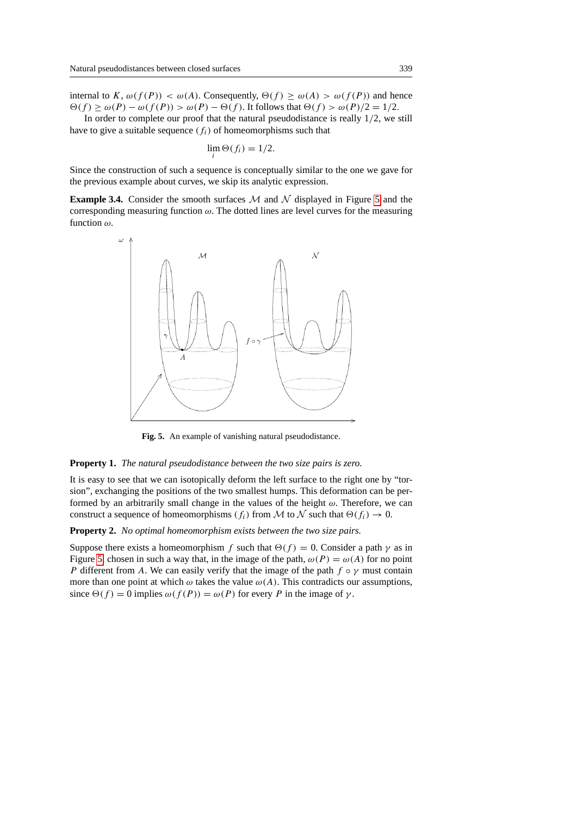internal to K,  $\omega(f(P)) < \omega(A)$ . Consequently,  $\Theta(f) \geq \omega(A) > \omega(f(P))$  and hence  $\Theta(f) \ge \omega(P) - \omega(f(P)) > \omega(P) - \Theta(f)$ . It follows that  $\Theta(f) > \omega(P)/2 = 1/2$ .

In order to complete our proof that the natural pseudodistance is really 1/2, we still have to give a suitable sequence  $(f_i)$  of homeomorphisms such that

$$
\lim_{i} \Theta(f_i) = 1/2.
$$

Since the construction of such a sequence is conceptually similar to the one we gave for the previous example about curves, we skip its analytic expression.

**Example 3.4.** Consider the smooth surfaces  $M$  and  $N$  displayed in Figure [5](#page-8-0) and the corresponding measuring function  $\omega$ . The dotted lines are level curves for the measuring function  $\omega$ .



<span id="page-8-0"></span>**Fig. 5.** An example of vanishing natural pseudodistance.

# **Property 1.** *The natural pseudodistance between the two size pairs is zero.*

It is easy to see that we can isotopically deform the left surface to the right one by "torsion", exchanging the positions of the two smallest humps. This deformation can be performed by an arbitrarily small change in the values of the height  $\omega$ . Therefore, we can construct a sequence of homeomorphisms ( $f_i$ ) from M to N such that  $\Theta(f_i) \to 0$ .

**Property 2.** *No optimal homeomorphism exists between the two size pairs.*

Suppose there exists a homeomorphism f such that  $\Theta(f) = 0$ . Consider a path  $\gamma$  as in Figure [5,](#page-8-0) chosen in such a way that, in the image of the path,  $\omega(P) = \omega(A)$  for no point P different from A. We can easily verify that the image of the path  $f \circ \gamma$  must contain more than one point at which  $\omega$  takes the value  $\omega(A)$ . This contradicts our assumptions, since  $\Theta(f) = 0$  implies  $\omega(f(P)) = \omega(P)$  for every P in the image of  $\gamma$ .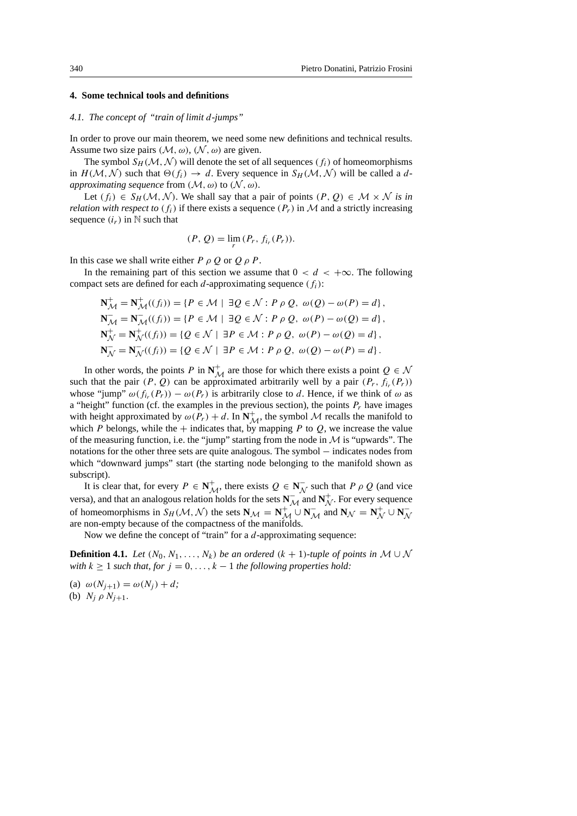# <span id="page-9-0"></span>**4. Some technical tools and definitions**

# <span id="page-9-1"></span>*4.1. The concept of "train of limit* d*-jumps"*

In order to prove our main theorem, we need some new definitions and technical results. Assume two size pairs  $(M, \omega)$ ,  $(N, \omega)$  are given.

The symbol  $S_H(\mathcal{M}, \mathcal{N})$  will denote the set of all sequences  $(f_i)$  of homeomorphisms in  $H(M, \mathcal{N})$  such that  $\Theta(f_i) \to d$ . Every sequence in  $S_H(M, \mathcal{N})$  will be called a d*approximating sequence* from  $(\mathcal{M}, \omega)$  to  $(\mathcal{N}, \omega)$ .

Let  $(f_i) \in S_H(\mathcal{M}, \mathcal{N})$ . We shall say that a pair of points  $(P, Q) \in \mathcal{M} \times \mathcal{N}$  is in *relation with respect to*  $(f_i)$  if there exists a sequence  $(P_r)$  in M and a strictly increasing sequence  $(i_r)$  in N such that

$$
(P, Q) = \lim_{r} (P_r, f_{i_r}(P_r)).
$$

In this case we shall write either  $P \rho O$  or  $O \rho P$ .

In the remaining part of this section we assume that  $0 < d < +\infty$ . The following compact sets are defined for each d-approximating sequence  $(f_i)$ :

$$
\mathbf{N}_{\mathcal{M}}^+ = \mathbf{N}_{\mathcal{M}}^+((f_i)) = \{ P \in \mathcal{M} \mid \exists Q \in \mathcal{N} : P \rho Q, \omega(Q) - \omega(P) = d \},
$$
\n
$$
\mathbf{N}_{\mathcal{M}}^- = \mathbf{N}_{\mathcal{M}}^-((f_i)) = \{ P \in \mathcal{M} \mid \exists Q \in \mathcal{N} : P \rho Q, \omega(P) - \omega(Q) = d \},
$$
\n
$$
\mathbf{N}_{\mathcal{N}}^+ = \mathbf{N}_{\mathcal{N}}^+((f_i)) = \{ Q \in \mathcal{N} \mid \exists P \in \mathcal{M} : P \rho Q, \omega(P) - \omega(Q) = d \},
$$
\n
$$
\mathbf{N}_{\mathcal{N}}^- = \mathbf{N}_{\mathcal{N}}^-((f_i)) = \{ Q \in \mathcal{N} \mid \exists P \in \mathcal{M} : P \rho Q, \omega(Q) - \omega(P) = d \}.
$$

In other words, the points P in  $N^+$  are those for which there exists a point  $Q \in \mathcal{N}$ such that the pair  $(P, Q)$  can be approximated arbitrarily well by a pair  $(P_r, f_{i_r}(P_r))$ whose "jump"  $\omega(f_{i_r}(P_r)) - \omega(P_r)$  is arbitrarily close to d. Hence, if we think of  $\omega$  as a "height" function (cf. the examples in the previous section), the points  $P_r$  have images with height approximated by  $\omega(P_r) + d$ . In  $N^+_{\mathcal{M}}$ , the symbol  $\mathcal M$  recalls the manifold to which P belongs, while the  $+$  indicates that, by mapping P to Q, we increase the value of the measuring function, i.e. the "jump" starting from the node in  $M$  is "upwards". The notations for the other three sets are quite analogous. The symbol − indicates nodes from which "downward jumps" start (the starting node belonging to the manifold shown as subscript).

It is clear that, for every  $P \in \mathbb{N}_{\mathcal{M}}^+$ , there exists  $Q \in \mathbb{N}_{\mathcal{N}}^ \overline{\mathcal{N}}$  such that  $P \rho Q$  (and vice versa), and that an analogous relation holds for the sets  $N_{\mathcal{M}}^-$  and  $N_{\mathcal{N}}^+$  $\overset{+}{\mathcal{N}}$ . For every sequence of homeomorphisms in  $S_H(\mathcal{M}, \mathcal{N})$  the sets  $\mathbf{N}_{\mathcal{M}} = \mathbf{N}_{\mathcal{M}}^+ \cup \mathbf{N}_{\mathcal{M}}^-$  and  $\mathbf{N}_{\mathcal{N}} = \mathbf{N}_{\mathcal{N}}^+$ N ∪ **N** −  $\lambda$ are non-empty because of the compactness of the manifolds.

Now we define the concept of "train" for a *d*-approximating sequence:

**Definition 4.1.** *Let*  $(N_0, N_1, \ldots, N_k)$  *be an ordered*  $(k + 1)$ *-tuple of points in*  $M \cup N$ *with*  $k \geq 1$  *such that, for*  $j = 0, \ldots, k - 1$  *the following properties hold:* 

(a)  $\omega(N_{i+1}) = \omega(N_i) + d;$ (b)  $N_i \rho N_{i+1}$ .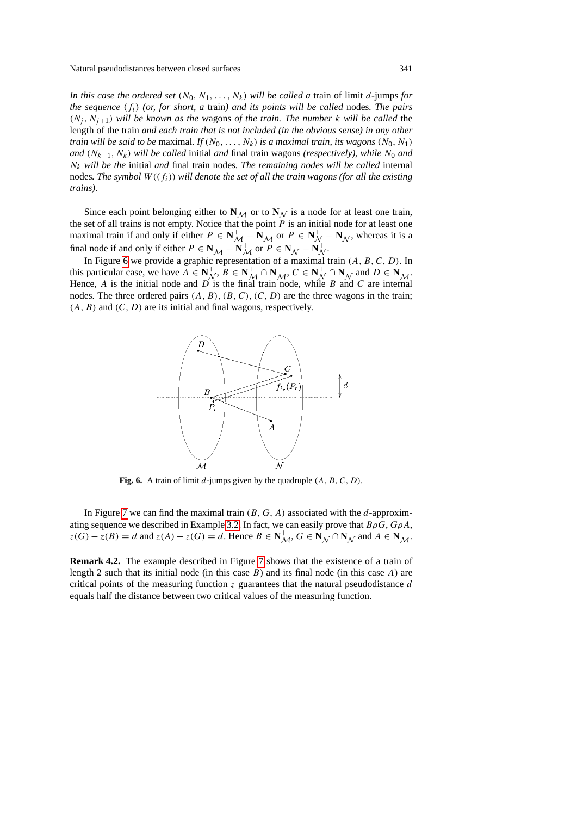*In this case the ordered set*  $(N_0, N_1, \ldots, N_k)$  *will be called a train of limit d-jumps for the sequence* (fi) *(or, for short, a* train*) and its points will be called* nodes*. The pairs*  $(N_i, N_{i+1})$  *will be known as the wagons of the train. The number k will be called the* length of the train *and each train that is not included (in the obvious sense) in any other train will be said to be maximal. If*  $(N_0, \ldots, N_k)$  *is a maximal train, its wagons*  $(N_0, N_1)$ *and* ( $N_{k-1}$ ,  $N_k$ ) *will be called* initial *and* final train wagons (*respectively*), *while*  $N_0$  *and* N<sup>k</sup> *will be the* initial *and* final train nodes*. The remaining nodes will be called* internal nodes*. The symbol* W ((fi)) *will denote the set of all the train wagons (for all the existing trains).*

Since each point belonging either to  $N_{\mathcal{M}}$  or to  $N_{\mathcal{N}}$  is a node for at least one train, the set of all trains is not empty. Notice that the point  $P$  is an initial node for at least one maximal train if and only if either  $P \in \mathbb{N}_{\mathcal{M}}^+$  –  $\mathbb{N}_{\mathcal{M}}^-$  or  $P \in \mathbb{N}_{\mathcal{N}}^+$  –  $\mathbb{N}_{\mathcal{N}}^ \bar{N}$ , whereas it is a final node if and only if either  $P \in N_{\mathcal{M}}^-$  –  $N_{\mathcal{M}}^+$  or  $P \in N_{\mathcal{N}}^-$  –  $N_{\mathcal{N}}^+$  $\stackrel{+}{\mathcal{N}}$ .

In Figure [6](#page-10-0) we provide a graphic representation of a maximal train  $(A, B, C, D)$ . In this particular case, we have  $\overrightarrow{A} \in \mathbf{N}_{\Lambda}^{+}$  $\overline{\mathcal{N}}$ ,  $B \in \mathbf{N}_{\mathcal{M}}^{+} \cap \mathbf{N}_{\mathcal{M}}^{-}$ ,  $C \in \mathbf{N}_{\mathcal{N}}^{+}$ N ∩ **N** −  $\overline{\mathcal{N}}$  and  $D \in \mathbf{N}_{\mathcal{M}}^{-}$ . Hence,  $A$  is the initial node and  $D$  is the final train node, while  $B$  and  $C$  are internal nodes. The three ordered pairs  $(A, B), (B, C), (C, D)$  are the three wagons in the train;  $(A, B)$  and  $(C, D)$  are its initial and final wagons, respectively.



<span id="page-10-0"></span>**Fig. 6.** A train of limit d-jumps given by the quadruple  $(A, B, C, D)$ .

In Figure [7](#page-11-0) we can find the maximal train  $(B, G, A)$  associated with the d-approxim-ating sequence we described in Example [3.2.](#page-2-1) In fact, we can easily prove that  $B\rho G$ ,  $G\rho A$ ,  $z(G) - z(B) = d$  and  $z(A) - z(G) = d$ . Hence  $B \in \mathbb{N}_{\mathcal{M}}^{+}$ ,  $G \in \mathbb{N}_{\mathcal{N}}^{+}$  $\overline{N}^+ \cap N^-_{\Lambda}$  $\overline{\mathcal{N}}$  and  $A \in \mathbf{N}_{\mathcal{M}}^{-}$ .

**Remark 4.2.** The example described in Figure [7](#page-11-0) shows that the existence of a train of length 2 such that its initial node (in this case  $B$ ) and its final node (in this case  $A$ ) are critical points of the measuring function z guarantees that the natural pseudodistance d equals half the distance between two critical values of the measuring function.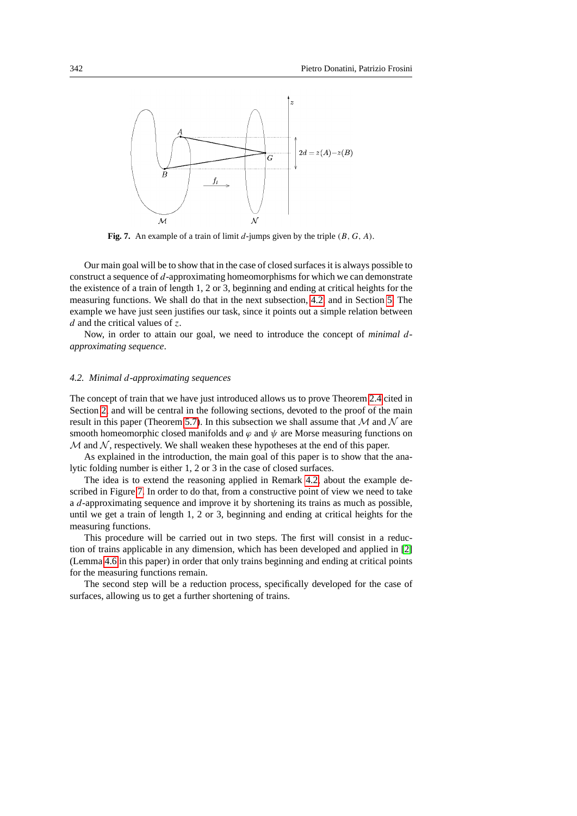

<span id="page-11-0"></span>**Fig. 7.** An example of a train of limit  $d$ -jumps given by the triple  $(B, G, A)$ .

Our main goal will be to show that in the case of closed surfaces it is always possible to construct a sequence of d-approximating homeomorphisms for which we can demonstrate the existence of a train of length 1, 2 or 3, beginning and ending at critical heights for the measuring functions. We shall do that in the next subsection, [4.2,](#page-11-1) and in Section [5.](#page-13-0) The example we have just seen justifies our task, since it points out a simple relation between  $d$  and the critical values of z.

Now, in order to attain our goal, we need to introduce the concept of *minimal* d*approximating sequence*.

### <span id="page-11-1"></span>*4.2. Minimal* d*-approximating sequences*

The concept of train that we have just introduced allows us to prove Theorem [2.4](#page-3-0) cited in Section [2,](#page-2-0) and will be central in the following sections, devoted to the proof of the main result in this paper (Theorem [5.7\)](#page-4-0). In this subsection we shall assume that  $M$  and  $N$  are smooth homeomorphic closed manifolds and  $\varphi$  and  $\psi$  are Morse measuring functions on  $M$  and  $N$ , respectively. We shall weaken these hypotheses at the end of this paper.

As explained in the introduction, the main goal of this paper is to show that the analytic folding number is either 1, 2 or 3 in the case of closed surfaces.

The idea is to extend the reasoning applied in Remark [4.2,](#page-2-1) about the example described in Figure [7.](#page-11-0) In order to do that, from a constructive point of view we need to take a d-approximating sequence and improve it by shortening its trains as much as possible, until we get a train of length 1, 2 or 3, beginning and ending at critical heights for the measuring functions.

This procedure will be carried out in two steps. The first will consist in a reduction of trains applicable in any dimension, which has been developed and applied in [\[2\]](#page-21-0) (Lemma [4.6](#page-4-1) in this paper) in order that only trains beginning and ending at critical points for the measuring functions remain.

The second step will be a reduction process, specifically developed for the case of surfaces, allowing us to get a further shortening of trains.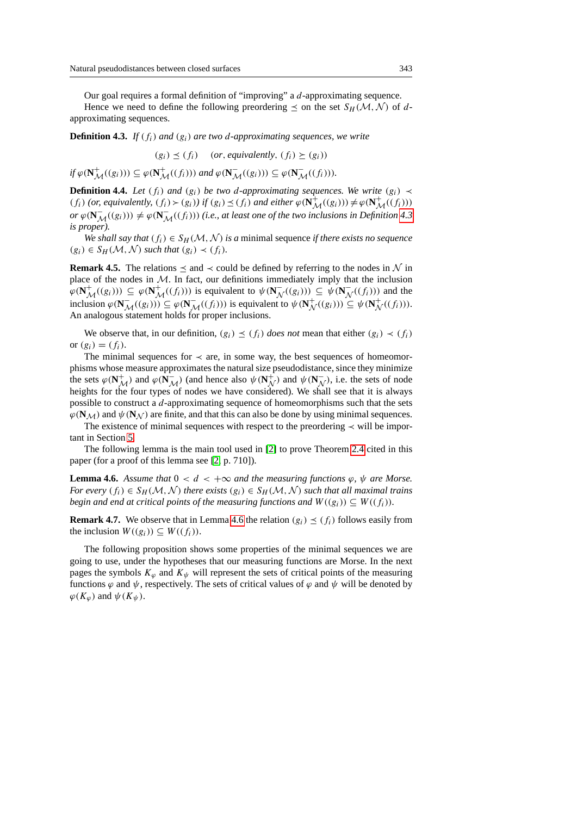Our goal requires a formal definition of "improving" a d-approximating sequence.

Hence we need to define the following preordering  $\leq$  on the set  $S_H(\mathcal{M}, \mathcal{N})$  of dapproximating sequences.

**Definition 4.3.** *If* ( $f_i$ ) *and* ( $g_i$ ) *are two d-approximating sequences, we write* 

$$
(g_i) \preceq (f_i)
$$
 (or, equivalently,  $(f_i) \succeq (g_i)$ )

*if*  $\varphi(\mathbf{N}_{\mathcal{M}}^+((g_i))) \subseteq \varphi(\mathbf{N}_{\mathcal{M}}^+((f_i)))$  and  $\varphi(\mathbf{N}_{\mathcal{M}}^-((g_i))) \subseteq \varphi(\mathbf{N}_{\mathcal{M}}^-((f_i))).$ 

**Definition 4.4.** *Let*  $(f_i)$  *and*  $(g_i)$  *be two d-approximating sequences. We write*  $(g_i)$   $\prec$  $(f_i)$  (or, equivalently,  $(f_i) > (g_i)$ ) if  $(g_i) \preceq (f_i)$  and either  $\varphi(\mathbf{N}_{\mathcal{M}}^+((g_i))) \neq \varphi(\mathbf{N}_{\mathcal{M}}^+((f_i)))$  $or \varphi(\mathbf{N}_{\mathcal{M}}^{-}((g_i))) \neq \varphi(\mathbf{N}_{\mathcal{M}}^{-}((f_i)))$  (i.e., at least one of the two inclusions in Definition [4.3](#page-3-1) *is proper).*

*We shall say that*  $(f_i) \in S_H(\mathcal{M}, \mathcal{N})$  *is a minimal sequence if there exists no sequence*  $(g_i) \in S_H(\mathcal{M}, \mathcal{N})$  *such that*  $(g_i) \prec (f_i)$ *.* 

**Remark 4.5.** The relations  $\leq$  and  $\lt$  could be defined by referring to the nodes in N in place of the nodes in  $M$ . In fact, our definitions immediately imply that the inclusion  $\varphi(\mathbf{N}_{\mathcal{M}}^{+}((g_{i}))) \subseteq \varphi(\mathbf{N}_{\mathcal{M}}^{+}((f_{i})))$  is equivalent to  $\psi(\mathbf{N}_{\mathcal{M}}^{-})$  $\mathcal{N}((g_i))) \subseteq \psi(\mathbf{N}_{\Lambda})$  $\bar{\mathcal{N}}((f_i))$  and the inclusion  $\varphi(\mathbf{N}_{\mathcal{M}}^{-}((g_i))) \subseteq \varphi(\mathbf{N}_{\mathcal{M}}^{-}((f_i)))$  is equivalent to  $\psi(\mathbf{N}_{\mathcal{N}}^{+})$  $\mathcal{N}^+(g_i)) \subseteq \psi(\mathbf{N}_{\Lambda}^+)$  $\mathcal{N}^{+}(f_i)).$ An analogous statement holds for proper inclusions.

We observe that, in our definition,  $(g_i) \leq (f_i)$  *does not* mean that either  $(g_i) \prec (f_i)$ or  $(g_i) = (f_i)$ .

The minimal sequences for  $\prec$  are, in some way, the best sequences of homeomorphisms whose measure approximates the natural size pseudodistance, since they minimize the sets  $\varphi(\mathbf{N}_{\mathcal{M}}^+)$  and  $\varphi(\mathbf{N}_{\mathcal{M}}^-)$  (and hence also  $\psi(\mathbf{N}_{\mathcal{N}}^+)$  $\overrightarrow{\mathcal{N}}$ ) and  $\psi(\mathbf{N}_{\Lambda})$  $(\overline{\mathcal{N}})$ , i.e. the sets of node heights for the four types of nodes we have considered). We shall see that it is always possible to construct a d-approximating sequence of homeomorphisms such that the sets  $\varphi(N_M)$  and  $\psi(N_N)$  are finite, and that this can also be done by using minimal sequences.

The existence of minimal sequences with respect to the preordering ≺ will be important in Section [5.](#page-13-0)

The following lemma is the main tool used in [\[2\]](#page-21-0) to prove Theorem [2.4](#page-3-0) cited in this paper (for a proof of this lemma see [\[2,](#page-21-0) p. 710]).

**Lemma 4.6.** *Assume that*  $0 < d < +\infty$  *and the measuring functions*  $\varphi$ ,  $\psi$  *are Morse. For every*  $(f_i) \in S_H(\mathcal{M}, \mathcal{N})$  *there exists*  $(g_i) \in S_H(\mathcal{M}, \mathcal{N})$  *such that all maximal trains begin and end at critical points of the measuring functions and*  $W((g_i)) \subseteq W((f_i))$ *.* 

**Remark 4.7.** We observe that in Lemma [4.6](#page-4-1) the relation  $(g_i) \leq (f_i)$  follows easily from the inclusion  $W((g_i)) \subseteq W((f_i))$ .

<span id="page-12-0"></span>The following proposition shows some properties of the minimal sequences we are going to use, under the hypotheses that our measuring functions are Morse. In the next pages the symbols  $K_{\varphi}$  and  $K_{\psi}$  will represent the sets of critical points of the measuring functions  $\varphi$  and  $\psi$ , respectively. The sets of critical values of  $\varphi$  and  $\psi$  will be denoted by  $\varphi(K_{\varphi})$  and  $\psi(K_{\psi})$ .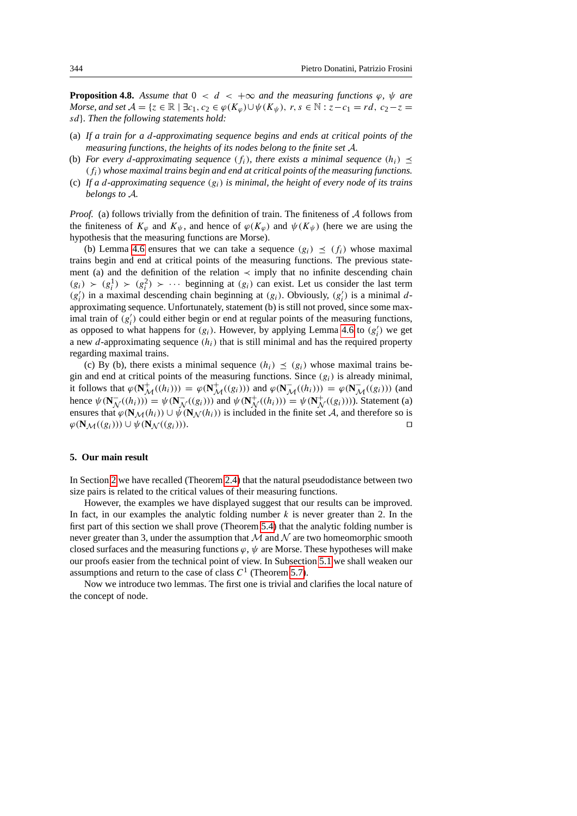**Proposition 4.8.** *Assume that*  $0 < d < +\infty$  *and the measuring functions*  $\varphi$ ,  $\psi$  *are Morse, and set*  $A = \{z \in \mathbb{R} \mid \exists c_1, c_2 \in \varphi(K_{\varphi}) \cup \psi(K_{\psi}), r, s \in \mathbb{N} : z - c_1 = rd, c_2 - z =$ sd}*. Then the following statements hold:*

- (a) *If a train for a* d*-approximating sequence begins and ends at critical points of the measuring functions, the heights of its nodes belong to the finite set* A*.*
- (b) *For every d-approximating sequence*  $(f_i)$ *, there exists a minimal sequence*  $(h_i) \preceq$ (fi) *whose maximal trains begin and end at critical points of the measuring functions.*
- (c) *If a* d*-approximating sequence* (gi) *is minimal, the height of every node of its trains belongs to* A*.*

*Proof.* (a) follows trivially from the definition of train. The finiteness of  $A$  follows from the finiteness of  $K_{\varphi}$  and  $K_{\psi}$ , and hence of  $\varphi(K_{\varphi})$  and  $\psi(K_{\psi})$  (here we are using the hypothesis that the measuring functions are Morse).

(b) Lemma [4.6](#page-4-1) ensures that we can take a sequence  $(g_i) \leq (f_i)$  whose maximal trains begin and end at critical points of the measuring functions. The previous statement (a) and the definition of the relation  $\prec$  imply that no infinite descending chain  $(g_i) \succ (g_i^1) \succ (g_i^2) \succ \cdots$  beginning at  $(g_i)$  can exist. Let us consider the last term  $(g_i')$  in a maximal descending chain beginning at  $(g_i)$ . Obviously,  $(g_i')$  is a minimal dapproximating sequence. Unfortunately, statement (b) is still not proved, since some maximal train of  $(g_i')$  could either begin or end at regular points of the measuring functions, as opposed to what happens for  $(g_i)$ . However, by applying Lemma [4.6](#page-4-1) to  $(g'_i)$  we get a new d-approximating sequence  $(h_i)$  that is still minimal and has the required property regarding maximal trains.

(c) By (b), there exists a minimal sequence  $(h_i) \leq (g_i)$  whose maximal trains begin and end at critical points of the measuring functions. Since  $(g_i)$  is already minimal, it follows that  $\varphi(\mathbf{N}_{\mathcal{M}}^{+}((h_i))) = \varphi(\mathbf{N}_{\mathcal{M}}^{+}((g_i)))$  and  $\varphi(\mathbf{N}_{\mathcal{M}}^{-}((h_i))) = \varphi(\mathbf{N}_{\mathcal{M}}^{-}((g_i)))$  (and hence  $\psi(\mathbf{N}_{\Lambda})$  $\overline{\mathcal{N}}((h_i))) = \psi(\mathbf{N}_{\Lambda}^{-})$  $\mathcal{N}((g_i))$  and  $\psi(\mathbf{N}_{\Lambda}^+)$  $\mathcal{N}^{+}((h_i))) = \psi(\mathbf{N}_{\Lambda}^{+})$  $\mathcal{N}((g_i)))$ ). Statement (a) ensures that  $\varphi(\mathbf{N}_{\mathcal{M}}(h_i)) \cup \psi(\mathbf{N}_{\mathcal{N}}(h_i))$  is included in the finite set A, and therefore so is  $\varphi(\mathbf{N}_{\mathcal{M}}((g_i))) \cup \psi(\mathbf{N}_{\mathcal{N}}((g_i))).$ 

## <span id="page-13-0"></span>**5. Our main result**

In Section [2](#page-2-0) we have recalled (Theorem [2.4\)](#page-3-0) that the natural pseudodistance between two size pairs is related to the critical values of their measuring functions.

However, the examples we have displayed suggest that our results can be improved. In fact, in our examples the analytic folding number  $k$  is never greater than 2. In the first part of this section we shall prove (Theorem [5.4\)](#page-3-0) that the analytic folding number is never greater than 3, under the assumption that  $\mathcal M$  and  $\mathcal N$  are two homeomorphic smooth closed surfaces and the measuring functions  $\varphi$ ,  $\psi$  are Morse. These hypotheses will make our proofs easier from the technical point of view. In Subsection [5.1](#page-19-0) we shall weaken our assumptions and return to the case of class  $C<sup>1</sup>$  (Theorem [5.7\)](#page-4-0).

Now we introduce two lemmas. The first one is trivial and clarifies the local nature of the concept of node.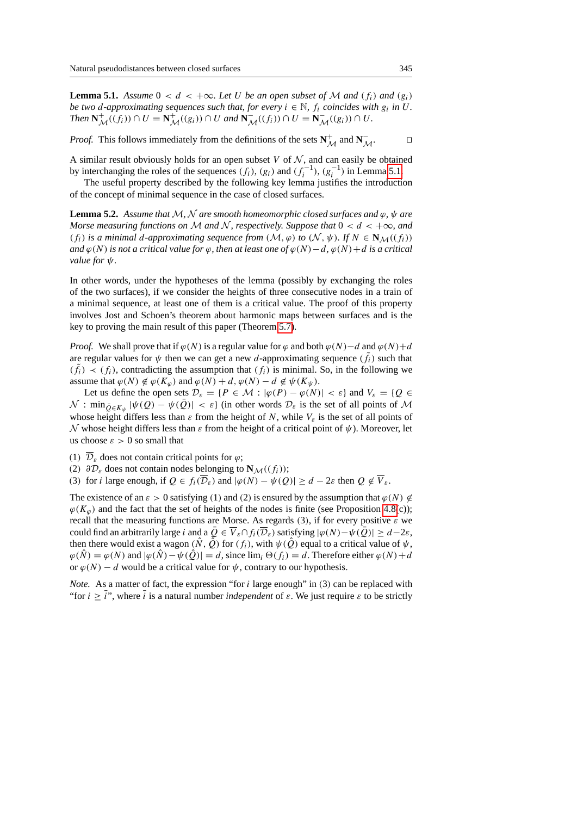**Lemma 5.1.** *Assume*  $0 < d < +\infty$ *. Let* U *be an open subset of* M *and* ( $f_i$ ) *and* ( $g_i$ ) *be two d-approximating sequences such that, for every*  $i \in \mathbb{N}$ ,  $f_i$  *coincides with*  $g_i$  *in U. Then*  $N^+_{\mathcal{M}}((f_i)) \cap U = N^+_{\mathcal{M}}((g_i)) \cap U$  and  $N^-_{\mathcal{M}}((f_i)) \cap U = N^-_{\mathcal{M}}((g_i)) \cap U$ .

*Proof.* This follows immediately from the definitions of the sets  $N_{\mathcal{M}}^+$  and  $N_{\mathcal{M}}^-$ .

A similar result obviously holds for an open subset  $V$  of  $N$ , and can easily be obtained by interchanging the roles of the sequences  $(f_i)$ ,  $(g_i)$  and  $(f_i^{-1})$ ,  $(g_i^{-1})$  in Lemma [5.1.](#page-2-2)

The useful property described by the following key lemma justifies the introduction of the concept of minimal sequence in the case of closed surfaces.

**Lemma 5.2.** *Assume that*  $M$ ,  $N$  *are smooth homeomorphic closed surfaces and*  $\varphi$ ,  $\psi$  *are Morse measuring functions on*  $M$  *and*  $N$ *, respectively. Suppose that*  $0 < d < +\infty$ *, and* (f<sub>i</sub>) is a minimal d-approximating sequence from  $(M, \varphi)$  to  $(N, \psi)$ *.* If  $N \in \mathbb{N}_{\mathcal{M}}((f_i))$ *and*  $\varphi(N)$  *is not a critical value for*  $\varphi$ *, then at least one of*  $\varphi(N) - d$ *,*  $\varphi(N) + d$  *is a critical value for*  $ψ$ *.* 

In other words, under the hypotheses of the lemma (possibly by exchanging the roles of the two surfaces), if we consider the heights of three consecutive nodes in a train of a minimal sequence, at least one of them is a critical value. The proof of this property involves Jost and Schoen's theorem about harmonic maps between surfaces and is the key to proving the main result of this paper (Theorem [5.7\)](#page-4-0).

*Proof.* We shall prove that if  $\varphi(N)$  is a regular value for  $\varphi$  and both  $\varphi(N)-d$  and  $\varphi(N)+d$ are regular values for  $\psi$  then we can get a new d-approximating sequence  $(\tilde{f}_i)$  such that  $(\tilde{f}_i) \prec (f_i)$ , contradicting the assumption that  $(f_i)$  is minimal. So, in the following we assume that  $\varphi(N) \notin \varphi(K_{\varphi})$  and  $\varphi(N) + d$ ,  $\varphi(N) - d \notin \psi(K_{\psi})$ .

Let us define the open sets  $\mathcal{D}_{\varepsilon} = \{P \in \mathcal{M} : |\varphi(P) - \varphi(N)| < \varepsilon\}$  and  $V_{\varepsilon} = \{Q \in$  $\mathcal N$  : min $_{\bar{Q}\in K_{\psi}} |\psi(Q) - \psi(\bar{Q})| < \varepsilon$  (in other words  $\mathcal D_{\varepsilon}$  is the set of all points of  $\mathcal M$ whose height differs less than  $\varepsilon$  from the height of N, while  $V_{\varepsilon}$  is the set of all points of N whose height differs less than ε from the height of a critical point of  $ψ$ ). Moreover, let us choose  $\varepsilon > 0$  so small that

- (1)  $\overline{\mathcal{D}}_{\varepsilon}$  does not contain critical points for  $\varphi$ ;
- (2)  $\partial \mathcal{D}_{\varepsilon}$  does not contain nodes belonging to **N**<sub>M</sub>((f<sub>i</sub>));

(3) for *i* large enough, if  $Q \in f_i(\overline{\mathcal{D}}_{\varepsilon})$  and  $|\varphi(N) - \psi(Q)| \ge d - 2\varepsilon$  then  $Q \notin \overline{V}_{\varepsilon}$ .

The existence of an  $\varepsilon > 0$  satisfying (1) and (2) is ensured by the assumption that  $\varphi(N) \notin$  $\varphi(K_{\varphi})$  and the fact that the set of heights of the nodes is finite (see Proposition [4.8\(](#page-12-0)c)); recall that the measuring functions are Morse. As regards (3), if for every positive  $\varepsilon$  we could find an arbitrarily large i and a  $\overline{Q} \in \overline{V}_{\varepsilon} \cap f_i(\overline{\mathcal{D}}_{\varepsilon})$  satisfying  $|\varphi(N)-\psi(\overline{Q})| \geq d-2\varepsilon$ , then there would exist a wagon  $(N, Q)$  for  $(f_i)$ , with  $\psi(Q)$  equal to a critical value of  $\psi$ ,  $\varphi(\hat{N}) = \varphi(N)$  and  $|\varphi(\hat{N}) - \psi(\hat{Q})| = d$ , since  $\lim_{i} \Theta(f_i) = d$ . Therefore either  $\varphi(N) + d$ or  $\varphi(N) - d$  would be a critical value for  $\psi$ , contrary to our hypothesis.

*Note.* As a matter of fact, the expression "for  $i$  large enough" in (3) can be replaced with "for  $i \geq i$ ", where  $i$  is a natural number *independent* of  $\varepsilon$ . We just require  $\varepsilon$  to be strictly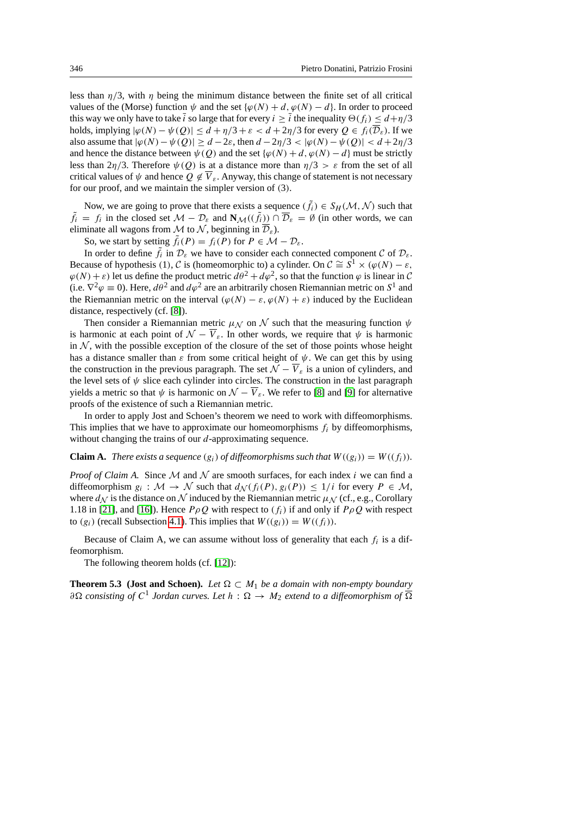less than  $\eta/3$ , with  $\eta$  being the minimum distance between the finite set of all critical values of the (Morse) function  $\psi$  and the set { $\varphi(N) + d$ ,  $\varphi(N) - d$ }. In order to proceed this way we only have to take i so large that for every  $i \geq i$  the inequality  $\Theta(f_i) \leq d + \eta/3$ holds, implying  $|\varphi(N) - \psi(Q)| \le d + \eta/3 + \varepsilon < d + 2\eta/3$  for every  $Q \in f_i(\mathcal{D}_{\varepsilon})$ . If we also assume that  $|\varphi(N) - \psi(Q)| \ge d - 2\varepsilon$ , then  $d - 2\eta/3 < |\varphi(N) - \psi(Q)| < d + 2\eta/3$ and hence the distance between  $\psi(Q)$  and the set { $\varphi(N) + d$ ,  $\varphi(N) - d$ } must be strictly less than  $2\eta/3$ . Therefore  $\psi(0)$  is at a distance more than  $\eta/3 > \varepsilon$  from the set of all critical values of  $\psi$  and hence  $O \notin \overline{V}_\varepsilon$ . Anyway, this change of statement is not necessary for our proof, and we maintain the simpler version of (3).

Now, we are going to prove that there exists a sequence  $(\tilde{f}_i) \in S_H(\mathcal{M}, \mathcal{N})$  such that  $\tilde{f}_i = f_i$  in the closed set  $\mathcal{M} - \mathcal{D}_{\varepsilon}$  and  $\mathbf{N}_{\mathcal{M}}((\tilde{f}_i)) \cap \overline{\mathcal{D}}_{\varepsilon} = \emptyset$  (in other words, we can eliminate all wagons from M to N, beginning in  $\overline{\mathcal{D}}_{\varepsilon}$ ).

So, we start by setting  $\tilde{f}_i(P) = f_i(P)$  for  $P \in \mathcal{M} - \mathcal{D}_{\varepsilon}$ .

In order to define  $\tilde{f}_i$  in  $\mathcal{D}_{\varepsilon}$  we have to consider each connected component  $\mathcal{C}$  of  $\mathcal{D}_{\varepsilon}$ . Because of hypothesis (1), C is (homeomorphic to) a cylinder. On  $C \cong S^1 \times (\varphi(N) - \varepsilon,$  $\varphi(N) + \varepsilon$ ) let us define the product metric  $d\theta^2 + d\varphi^2$ , so that the function  $\varphi$  is linear in C (i.e.  $\nabla^2 \varphi \equiv 0$ ). Here,  $d\theta^2$  and  $d\varphi^2$  are an arbitrarily chosen Riemannian metric on  $S^1$  and the Riemannian metric on the interval  $(\varphi(N) - \varepsilon, \varphi(N) + \varepsilon)$  induced by the Euclidean distance, respectively (cf. [\[8\]](#page-21-5)).

Then consider a Riemannian metric  $\mu_N$  on N such that the measuring function  $\psi$ is harmonic at each point of  $\mathcal{N} - \overline{V}_{\varepsilon}$ . In other words, we require that  $\psi$  is harmonic in  $N$ , with the possible exception of the closure of the set of those points whose height has a distance smaller than  $\varepsilon$  from some critical height of  $\psi$ . We can get this by using the construction in the previous paragraph. The set  $\overline{\mathcal{N}} - \overline{\mathcal{V}}_s$  is a union of cylinders, and the level sets of  $\psi$  slice each cylinder into circles. The construction in the last paragraph yields a metric so that  $\psi$  is harmonic on  $\mathcal{N} - \overline{V}_{\varepsilon}$ . We refer to [\[8\]](#page-21-5) and [\[9\]](#page-21-6) for alternative proofs of the existence of such a Riemannian metric.

In order to apply Jost and Schoen's theorem we need to work with diffeomorphisms. This implies that we have to approximate our homeomorphisms  $f_i$  by diffeomorphisms, without changing the trains of our *d*-approximating sequence.

## **Claim A.** There exists a sequence  $(g_i)$  of diffeomorphisms such that  $W((g_i)) = W((f_i))$ .

*Proof of Claim A.* Since  $M$  and  $N$  are smooth surfaces, for each index i we can find a diffeomorphism  $g_i : \mathcal{M} \to \mathcal{N}$  such that  $d_{\mathcal{N}}(f_i(P), g_i(P)) \leq 1/i$  for every  $P \in \mathcal{M}$ , where  $d_N$  is the distance on N induced by the Riemannian metric  $\mu_N$  (cf., e.g., Corollary 1.18 in [\[21\]](#page-22-5), and [\[16\]](#page-22-6)). Hence  $P \rho Q$  with respect to  $(f_i)$  if and only if  $P \rho Q$  with respect to  $(g_i)$  (recall Subsection [4.1\)](#page-9-1). This implies that  $W((g_i)) = W((f_i)).$ 

Because of Claim A, we can assume without loss of generality that each  $f_i$  is a diffeomorphism.

The following theorem holds (cf. [\[12\]](#page-21-7)):

**Theorem 5.3 (Jost and Schoen).** *Let*  $\Omega \subset M_1$  *be a domain with non-empty boundary*  $\partial \Omega$  consisting of  $C^1$  Jordan curves. Let  $h : \Omega \to M_2$  extend to a diffeomorphism of  $\overline{\Omega}$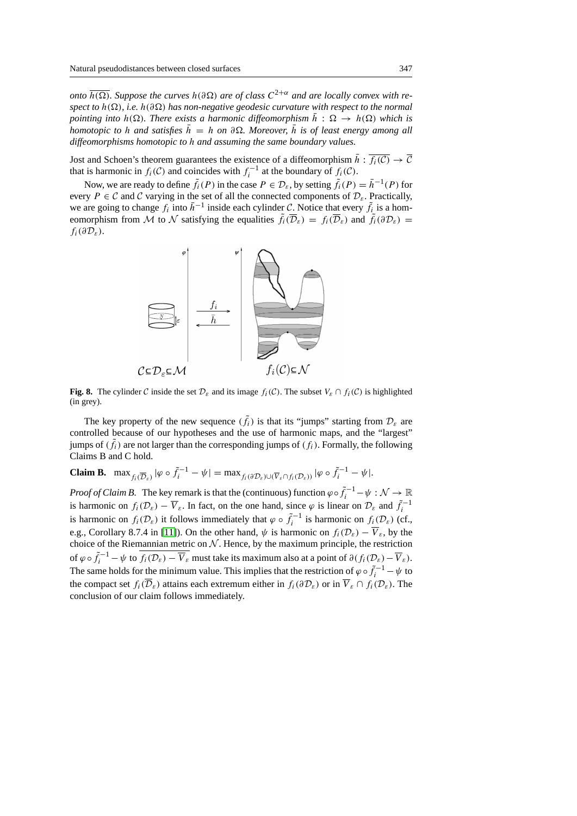*onto*  $\overline{h(\Omega)}$ . Suppose the curves  $h(\partial\Omega)$  are of class  $C^{2+\alpha}$  and are locally convex with re*spect to*  $h(\Omega)$ , *i.e.*  $h(\partial\Omega)$  *has non-negative geodesic curvature with respect to the normal pointing into*  $h(\Omega)$ *. There exists a harmonic diffeomorphism*  $\bar{h}: \Omega \to h(\Omega)$  *which is homotopic to* h and satisfies  $h = h$  on  $\partial \Omega$ . Moreover, h is of least energy among all *diffeomorphisms homotopic to* h *and assuming the same boundary values.*

Jost and Schoen's theorem guarantees the existence of a diffeomorphism  $\bar{h}$  :  $\bar{f}_i(\bar{C}) \to \bar{C}$ that is harmonic in  $f_i(\mathcal{C})$  and coincides with  $f_i^{-1}$  at the boundary of  $f_i(\mathcal{C})$ .

Now, we are ready to define  $\tilde{f}_i(P)$  in the case  $P \in \mathcal{D}_{\varepsilon}$ , by setting  $\tilde{f}_i(P) = \bar{h}^{-1}(P)$  for every  $P \in \mathcal{C}$  and  $\mathcal{C}$  varying in the set of all the connected components of  $\mathcal{D}_{\varepsilon}$ . Practically, we are going to change  $f_i$  into  $\bar{h}^{-1}$  inside each cylinder C. Notice that every  $\tilde{f}_i$  is a homeomorphism from  $\tilde{\mathcal{M}}$  to  $\tilde{\mathcal{N}}$  satisfying the equalities  $\tilde{f}_i(\overline{\mathcal{D}}_{\varepsilon}) = f_i(\overline{\mathcal{D}}_{\varepsilon})$  and  $\tilde{f}_i(\partial \mathcal{D}_{\varepsilon}) =$  $f_i(\partial \mathcal{D}_{\varepsilon}).$ 



**Fig. 8.** The cylinder C inside the set  $\mathcal{D}_{\varepsilon}$  and its image  $f_i(\mathcal{C})$ . The subset  $V_{\varepsilon} \cap f_i(\mathcal{C})$  is highlighted (in grey).

The key property of the new sequence  $(\tilde{f}_i)$  is that its "jumps" starting from  $\mathcal{D}_{\varepsilon}$  are controlled because of our hypotheses and the use of harmonic maps, and the "largest" jumps of  $(\tilde{f}_i)$  are not larger than the corresponding jumps of  $(f_i)$ . Formally, the following Claims B and C hold.

**Claim B.**  $\max_{f_i(\overline{D}_{\varepsilon})} |\varphi \circ \tilde{f}_i^{-1} - \psi| = \max_{f_i(\partial D_{\varepsilon}) \cup (\overline{V}_{\varepsilon} \cap f_i(D_{\varepsilon}))} |\varphi \circ \tilde{f}_i^{-1} - \psi|$ .

*Proof of Claim B.* The key remark is that the (continuous) function  $\varphi \circ \tilde{f}_i^{-1} - \psi : \mathcal{N} \to \mathbb{R}$ is harmonic on  $f_i(\mathcal{D}_{\varepsilon}) - \overline{V}_{\varepsilon}$ . In fact, on the one hand, since  $\varphi$  is linear on  $\mathcal{D}_{\varepsilon}$  and  $\tilde{f}_i^{-1}$ is harmonic on  $f_i(\mathcal{D}_{\varepsilon})$  it follows immediately that  $\varphi \circ \tilde{f}_i^{-1}$  is harmonic on  $f_i(\mathcal{D}_{\varepsilon})$  (cf., e.g., Corollary 8.7.4 in [\[11\]](#page-21-8)). On the other hand,  $\psi$  is harmonic on  $f_i(\mathcal{D}_\varepsilon) - \overline{V}_\varepsilon$ , by the choice of the Riemannian metric on  $N$ . Hence, by the maximum principle, the restriction of  $\varphi \circ \tilde{f}_i^{-1} - \psi$  to  $\overline{f_i(\mathcal{D}_\varepsilon) - \overline{V}_\varepsilon}$  must take its maximum also at a point of  $\partial (f_i(\mathcal{D}_\varepsilon) - \overline{V}_\varepsilon)$ . The same holds for the minimum value. This implies that the restriction of  $\varphi \circ \tilde{f}_i^{-1} - \psi$  to the compact set  $f_i(\overline{\mathcal{D}}_{\mathcal{E}})$  attains each extremum either in  $f_i(\partial \mathcal{D}_{\mathcal{E}})$  or in  $\overline{V}_{\mathcal{E}} \cap f_i(\mathcal{D}_{\mathcal{E}})$ . The conclusion of our claim follows immediately.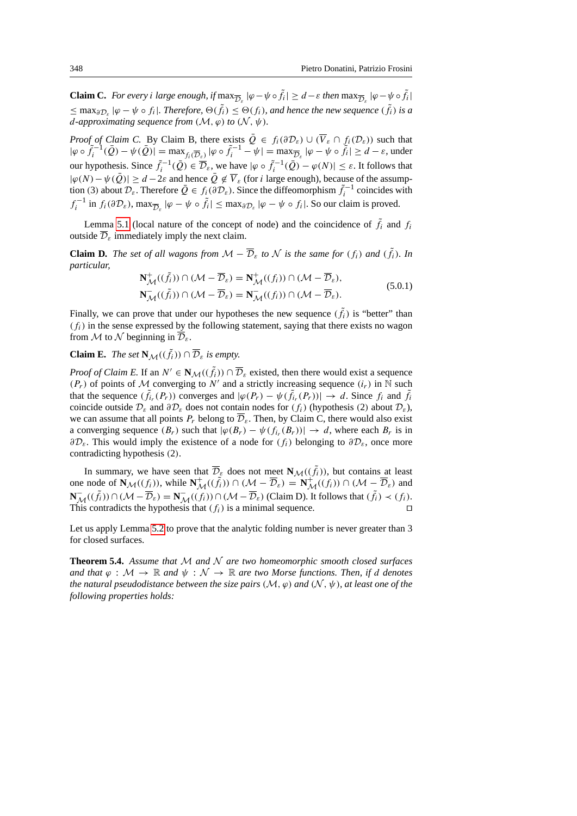**Claim C.** For every i large enough, if  $\max_{\overline{D}_{\varepsilon}} |\varphi - \psi \circ \tilde{f}_i| \ge d - \varepsilon$  then  $\max_{\overline{D}_{\varepsilon}} |\varphi - \psi \circ \tilde{f}_i|$  $\leq$  max<sub> $\partial \mathcal{D}_{\varepsilon}$  | $\varphi - \psi \circ f_i$  |*. Therefore,*  $\Theta(\tilde{f}_i) \leq \Theta(f_i)$ *, and hence the new sequence*  $(\tilde{f}_i)$  *is a*</sub> *d*-approximating sequence from  $(M, \varphi)$  to  $(N, \psi)$ .

*Proof of Claim C.* By Claim B, there exists  $\overline{Q} \in f_i(\partial \mathcal{D}_\varepsilon) \cup (\overline{V}_{\varepsilon} \cap f_i(\mathcal{D}_{\varepsilon}))$  such that  $|\varphi \circ \tilde{f}_i^{-1}(\bar{Q}) - \psi(\bar{Q})| = \max_{f_i(\overline{D}_{\varepsilon})} |\varphi \circ \tilde{f}_i^{-1} - \psi| = \max_{\overline{D}_{\varepsilon}} |\varphi - \psi \circ \tilde{f}_i| \ge d - \varepsilon$ , under our hypothesis. Since  $\tilde{f}_i^{-1}(\tilde{Q}) \in \overline{\mathcal{D}}_{\varepsilon}$ , we have  $|\varphi \circ \tilde{f}_i^{-1}(\tilde{Q}) - \varphi(N)| \leq \varepsilon$ . It follows that  $|\varphi(N)-\psi(\bar{Q})|\geq d-2\varepsilon$  and hence  $\bar{Q}\notin \overline{V}_{\varepsilon}$  (for *i* large enough), because of the assumption (3) about  $\mathcal{D}_{\varepsilon}$ . Therefore  $\overline{Q} \in f_i(\partial \mathcal{D}_{\varepsilon})$ . Since the diffeomorphism  $\tilde{f}_i^{-1}$  coincides with  $f_i^{-1}$  in  $f_i(\partial \mathcal{D}_{\varepsilon})$ ,  $\max_{\overline{\mathcal{D}}_{\varepsilon}} |\varphi - \psi \circ \tilde{f}_i| \leq \max_{\partial \mathcal{D}_{\varepsilon}} |\varphi - \psi \circ f_i|$ . So our claim is proved.

Lemma [5.1](#page-2-2) (local nature of the concept of node) and the coincidence of  $\tilde{f}_i$  and  $f_i$ outside  $\mathcal{D}_{\varepsilon}$  immediately imply the next claim.

**Claim D.** *The set of all wagons from*  $M - \overline{\mathcal{D}}_{\varepsilon}$  *to*  $\mathcal{N}$  *is the same for*  $(f_i)$  *and*  $(\tilde{f}_i)$ *. In particular,*

$$
\mathbf{N}_{\mathcal{M}}^{+}((\tilde{f}_{i})) \cap (\mathcal{M} - \overline{\mathcal{D}}_{\varepsilon}) = \mathbf{N}_{\mathcal{M}}^{+}((f_{i})) \cap (\mathcal{M} - \overline{\mathcal{D}}_{\varepsilon}),
$$
\n
$$
\mathbf{N}_{\mathcal{M}}^{-}((\tilde{f}_{i})) \cap (\mathcal{M} - \overline{\mathcal{D}}_{\varepsilon}) = \mathbf{N}_{\mathcal{M}}^{-}((f_{i})) \cap (\mathcal{M} - \overline{\mathcal{D}}_{\varepsilon}).
$$
\n(5.0.1)

Finally, we can prove that under our hypotheses the new sequence  $(\tilde{f}_i)$  is "better" than  $(f_i)$  in the sense expressed by the following statement, saying that there exists no wagon from M to N beginning in  $\overline{\mathcal{D}}_s$ .

# **Claim E.** *The set*  $\mathbf{N}_{\mathcal{M}}((\tilde{f}_i)) \cap \overline{\mathcal{D}}_{\varepsilon}$  *is empty.*

*Proof of Claim E.* If an  $N' \in N_{\mathcal{M}}((\tilde{f}_i)) \cap \overline{\mathcal{D}}_{\varepsilon}$  existed, then there would exist a sequence  $(P_r)$  of points of M converging to N' and a strictly increasing sequence  $(i_r)$  in  $\tilde{\mathbb{N}}$  such that the sequence  $(\tilde{f}_{i_r}(P_r))$  converges and  $|\varphi(P_r) - \psi(\tilde{f}_{i_r}(P_r))| \to d$ . Since  $f_i$  and  $\tilde{f}_i$ coincide outside  $\mathcal{D}_{\varepsilon}$  and  $\partial \mathcal{D}_{\varepsilon}$  does not contain nodes for  $(f_i)$  (hypothesis (2) about  $\mathcal{D}_{\varepsilon}$ ), we can assume that all points  $P_r$  belong to  $\overline{\mathcal{D}}_{\varepsilon}$ . Then, by Claim C, there would also exist a converging sequence  $(B_r)$  such that  $|\varphi(B_r) - \psi(f_{i_r}(B_r))| \to d$ , where each  $B_r$  is in  $\partial \mathcal{D}_{\varepsilon}$ . This would imply the existence of a node for  $(f_i)$  belonging to  $\partial \mathcal{D}_{\varepsilon}$ , once more contradicting hypothesis (2).

In summary, we have seen that  $\overline{\mathcal{D}}_{g}$  does not meet  $\mathbf{N}_{\mathcal{M}}((\tilde{f}_{i}))$ , but contains at least one node of  $\mathbf{N}_{\mathcal{M}}((f_i))$ , while  $\mathbf{N}_{\mathcal{M}}^+(\tilde{f}_i)$ )  $\cap$  ( $\mathcal{M} - \overline{\mathcal{D}}_{\varepsilon}$ ) =  $\mathbf{N}_{\mathcal{M}}^+(\tilde{f}_i)$ )  $\cap$  ( $\mathcal{M} - \overline{\mathcal{D}}_{\varepsilon}$ ) and **N**<sub>M</sub>(( $\tilde{f}_i$ )∩(M −  $\overline{\mathcal{D}}_{\varepsilon}$ ) = **N**<sub>M</sub>(( $f_i$ ))∩(M −  $\overline{\mathcal{D}}_{\varepsilon}$ ) (Claim D). It follows that ( $\tilde{f}_i$ ) < ( $f_i$ ). This contradicts the hypothesis that  $(f_i)$  is a minimal sequence.

Let us apply Lemma [5.2](#page-2-1) to prove that the analytic folding number is never greater than 3 for closed surfaces.

**Theorem 5.4.** *Assume that* M *and* N *are two homeomorphic smooth closed surfaces and that*  $\varphi : \mathcal{M} \to \mathbb{R}$  *and*  $\psi : \mathcal{N} \to \mathbb{R}$  *are two Morse functions. Then, if d denotes the natural pseudodistance between the size pairs*  $(M, \varphi)$  *and*  $(N, \psi)$ *, at least one of the following properties holds:*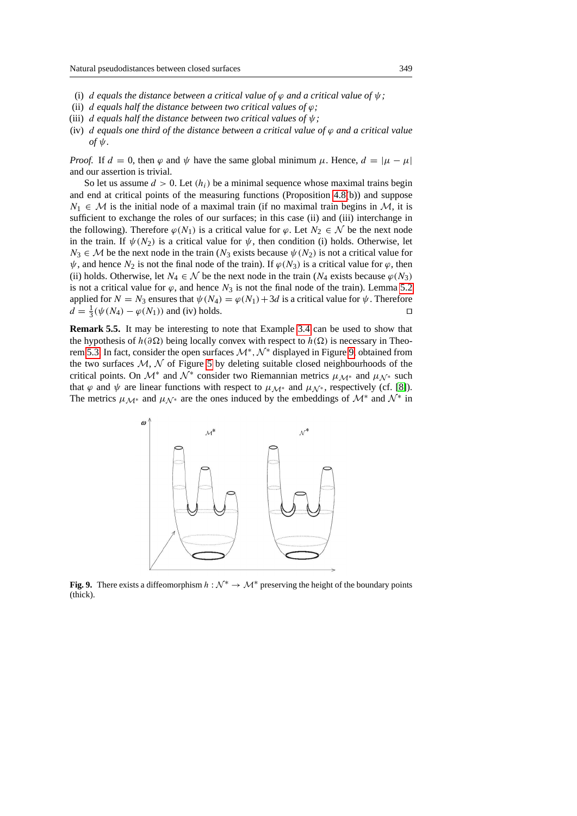- (i) d equals the distance between a critical value of  $\varphi$  and a critical value of  $\psi$ ;
- (ii) d equals half the distance between two critical values of  $\varphi$ ;
- (iii) d *equals half the distance between two critical values of* ψ*;*
- (iv) d *equals one third of the distance between a critical value of* ϕ *and a critical value*  $of$   $\psi$ .

*Proof.* If  $d = 0$ , then  $\varphi$  and  $\psi$  have the same global minimum  $\mu$ . Hence,  $d = |\mu - \mu|$ and our assertion is trivial.

So let us assume  $d > 0$ . Let  $(h_i)$  be a minimal sequence whose maximal trains begin and end at critical points of the measuring functions (Proposition [4.8\(](#page-12-0)b)) and suppose  $N_1 \in \mathcal{M}$  is the initial node of a maximal train (if no maximal train begins in  $\mathcal{M}$ , it is sufficient to exchange the roles of our surfaces; in this case (ii) and (iii) interchange in the following). Therefore  $\varphi(N_1)$  is a critical value for  $\varphi$ . Let  $N_2 \in \mathcal{N}$  be the next node in the train. If  $\psi(N_2)$  is a critical value for  $\psi$ , then condition (i) holds. Otherwise, let  $N_3 \in \mathcal{M}$  be the next node in the train  $(N_3$  exists because  $\psi(N_2)$  is not a critical value for  $\psi$ , and hence  $N_2$  is not the final node of the train). If  $\varphi(N_3)$  is a critical value for  $\varphi$ , then (ii) holds. Otherwise, let  $N_4 \in \mathcal{N}$  be the next node in the train  $(N_4$  exists because  $\varphi(N_3)$ is not a critical value for  $\varphi$ , and hence  $N_3$  is not the final node of the train). Lemma [5.2](#page-2-1) applied for  $N = N_3$  ensures that  $\psi(N_4) = \varphi(N_1) + 3d$  is a critical value for  $\psi$ . Therefore  $d = \frac{1}{3}(\psi(N_4) - \varphi(N_1))$  and (iv) holds.

**Remark 5.5.** It may be interesting to note that Example [3.4](#page-3-0) can be used to show that the hypothesis of  $h(\partial \Omega)$  being locally convex with respect to  $h(\Omega)$  is necessary in Theo-rem [5.3.](#page-3-1) In fact, consider the open surfaces  $\mathcal{M}^*, \mathcal{N}^*$  displayed in Figure [9,](#page-18-0) obtained from the two surfaces  $M$ ,  $N$  of Figure [5](#page-8-0) by deleting suitable closed neighbourhoods of the critical points. On  $\mathcal{M}^*$  and  $\tilde{\mathcal{N}^*}$  consider two Riemannian metrics  $\mu_{\mathcal{M}^*}$  and  $\mu_{\mathcal{N}^*}$  such that  $\varphi$  and  $\psi$  are linear functions with respect to  $\mu_{\mathcal{M}^*}$  and  $\mu_{\mathcal{N}^*}$ , respectively (cf. [\[8\]](#page-21-5)). The metrics  $\mu_{\mathcal{M}^*}$  and  $\mu_{\mathcal{N}^*}$  are the ones induced by the embeddings of  $\mathcal{M}^*$  and  $\mathcal{N}^*$  in



<span id="page-18-0"></span>**Fig. 9.** There exists a diffeomorphism  $h : \mathcal{N}^* \to \mathcal{M}^*$  preserving the height of the boundary points (thick).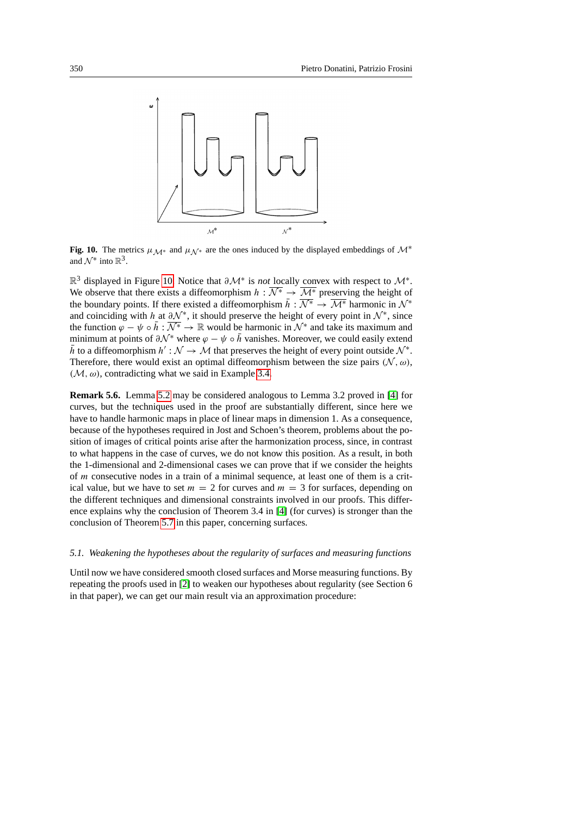

<span id="page-19-1"></span>**Fig. 10.** The metrics  $\mu_{\mathcal{M}^*}$  and  $\mu_{\mathcal{N}^*}$  are the ones induced by the displayed embeddings of  $\mathcal{M}^*$ and  $\mathcal{N}^*$  into  $\mathbb{R}^3$ .

R<sup>3</sup> displayed in Figure [10.](#page-19-1) Notice that  $\partial \mathcal{M}^*$  is *not* locally convex with respect to  $\mathcal{M}^*$ . We observe that there exists a diffeomorphism  $h : \overline{\mathcal{N}^*} \to \overline{\mathcal{M}^*}$  preserving the height of the boundary points. If there existed a diffeomorphism  $\bar{h}: \overline{\mathcal{N}^*} \to \overline{\mathcal{M}^*}$  harmonic in  $\mathcal{N}^*$ and coinciding with h at  $\partial \mathcal{N}^*$ , it should preserve the height of every point in  $\mathcal{N}^*$ , since the function  $\varphi - \psi \circ \bar{h}: \overline{\mathcal{N}^*} \to \mathbb{R}$  would be harmonic in  $\mathcal{N}^*$  and take its maximum and minimum at points of  $\partial \mathcal{N}^*$  where  $\varphi - \psi \circ \bar{h}$  vanishes. Moreover, we could easily extend  $\bar{h}$  to a diffeomorphism  $h' : \mathcal{N} \to \mathcal{M}$  that preserves the height of every point outside  $\mathcal{N}^*$ . Therefore, there would exist an optimal diffeomorphism between the size pairs  $(N, \omega)$ ,  $(\mathcal{M}, \omega)$ , contradicting what we said in Example [3.4.](#page-3-0)

**Remark 5.6.** Lemma [5.2](#page-2-1) may be considered analogous to Lemma 3.2 proved in [\[4\]](#page-21-1) for curves, but the techniques used in the proof are substantially different, since here we have to handle harmonic maps in place of linear maps in dimension 1. As a consequence, because of the hypotheses required in Jost and Schoen's theorem, problems about the position of images of critical points arise after the harmonization process, since, in contrast to what happens in the case of curves, we do not know this position. As a result, in both the 1-dimensional and 2-dimensional cases we can prove that if we consider the heights of m consecutive nodes in a train of a minimal sequence, at least one of them is a critical value, but we have to set  $m = 2$  for curves and  $m = 3$  for surfaces, depending on the different techniques and dimensional constraints involved in our proofs. This difference explains why the conclusion of Theorem 3.4 in [\[4\]](#page-21-1) (for curves) is stronger than the conclusion of Theorem [5.7](#page-4-0) in this paper, concerning surfaces.

#### <span id="page-19-0"></span>*5.1. Weakening the hypotheses about the regularity of surfaces and measuring functions*

Until now we have considered smooth closed surfaces and Morse measuring functions. By repeating the proofs used in [\[2\]](#page-21-0) to weaken our hypotheses about regularity (see Section 6 in that paper), we can get our main result via an approximation procedure: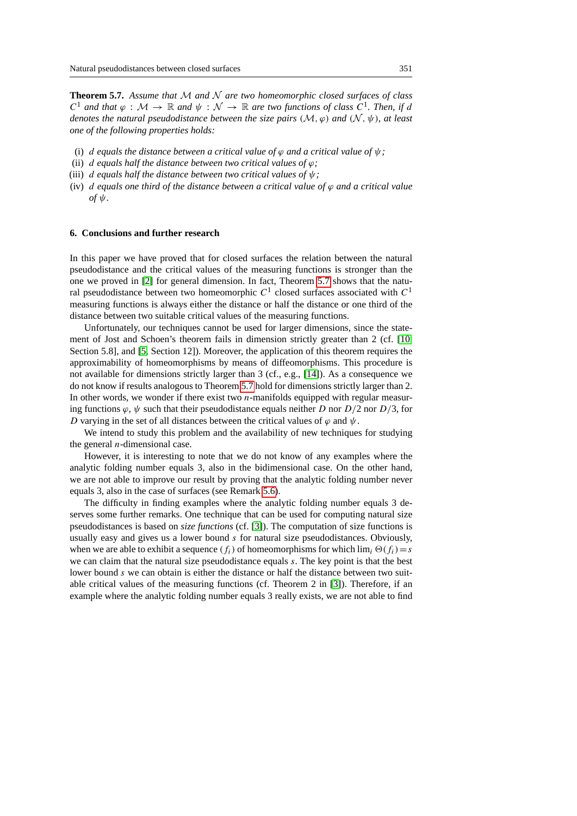**Theorem 5.7.** *Assume that* M *and* N *are two homeomorphic closed surfaces of class*  $C^1$  and that  $\varphi : \mathcal{M} \to \mathbb{R}$  and  $\psi : \mathcal{N} \to \mathbb{R}$  are two functions of class  $C^1$ . Then, if d *denotes the natural pseudodistance between the size pairs*  $(M, \varphi)$  *and*  $(N, \psi)$ *, at least one of the following properties holds:*

- (i) d equals the distance between a critical value of  $\varphi$  and a critical value of  $\psi$ ;
- (ii) d equals half the distance between two critical values of  $\varphi$ ;
- (iii) d *equals half the distance between two critical values of* ψ*;*
- (iv) d equals one third of the distance between a critical value of  $\varphi$  and a critical value  $\partial f \psi$ .

#### <span id="page-20-0"></span>**6. Conclusions and further research**

In this paper we have proved that for closed surfaces the relation between the natural pseudodistance and the critical values of the measuring functions is stronger than the one we proved in [\[2\]](#page-21-0) for general dimension. In fact, Theorem [5.7](#page-4-0) shows that the natural pseudodistance between two homeomorphic  $C^1$  closed surfaces associated with  $C^1$ measuring functions is always either the distance or half the distance or one third of the distance between two suitable critical values of the measuring functions.

Unfortunately, our techniques cannot be used for larger dimensions, since the statement of Jost and Schoen's theorem fails in dimension strictly greater than 2 (cf. [\[10,](#page-21-9) Section 5.8], and [\[5,](#page-21-10) Section 12]). Moreover, the application of this theorem requires the approximability of homeomorphisms by means of diffeomorphisms. This procedure is not available for dimensions strictly larger than 3 (cf., e.g., [\[14\]](#page-22-7)). As a consequence we do not know if results analogous to Theorem [5.7](#page-4-0) hold for dimensions strictly larger than 2. In other words, we wonder if there exist two  $n$ -manifolds equipped with regular measuring functions  $\varphi$ ,  $\psi$  such that their pseudodistance equals neither D nor  $D/2$  nor  $D/3$ , for D varying in the set of all distances between the critical values of  $\varphi$  and  $\psi$ .

We intend to study this problem and the availability of new techniques for studying the general  $n$ -dimensional case.

However, it is interesting to note that we do not know of any examples where the analytic folding number equals 3, also in the bidimensional case. On the other hand, we are not able to improve our result by proving that the analytic folding number never equals 3, also in the case of surfaces (see Remark [5.6\)](#page-4-1).

The difficulty in finding examples where the analytic folding number equals 3 deserves some further remarks. One technique that can be used for computing natural size pseudodistances is based on *size functions* (cf. [\[3\]](#page-21-11)). The computation of size functions is usually easy and gives us a lower bound  $s$  for natural size pseudodistances. Obviously, when we are able to exhibit a sequence  $(f_i)$  of homeomorphisms for which  $\lim_i \Theta(f_i)=s$ we can claim that the natural size pseudodistance equals s. The key point is that the best lower bound s we can obtain is either the distance or half the distance between two suitable critical values of the measuring functions (cf. Theorem 2 in [\[3\]](#page-21-11)). Therefore, if an example where the analytic folding number equals 3 really exists, we are not able to find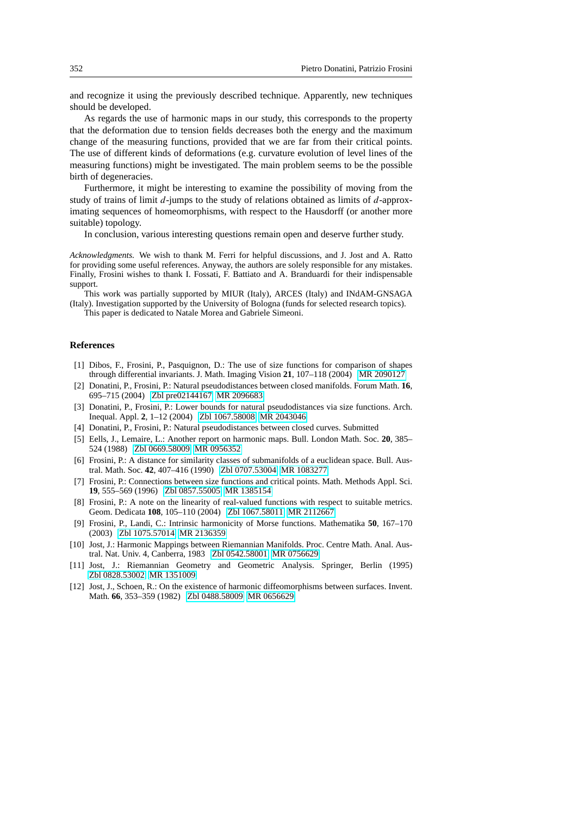and recognize it using the previously described technique. Apparently, new techniques should be developed.

As regards the use of harmonic maps in our study, this corresponds to the property that the deformation due to tension fields decreases both the energy and the maximum change of the measuring functions, provided that we are far from their critical points. The use of different kinds of deformations (e.g. curvature evolution of level lines of the measuring functions) might be investigated. The main problem seems to be the possible birth of degeneracies.

Furthermore, it might be interesting to examine the possibility of moving from the study of trains of limit  $d$ -jumps to the study of relations obtained as limits of  $d$ -approximating sequences of homeomorphisms, with respect to the Hausdorff (or another more suitable) topology.

In conclusion, various interesting questions remain open and deserve further study.

*Acknowledgments.* We wish to thank M. Ferri for helpful discussions, and J. Jost and A. Ratto for providing some useful references. Anyway, the authors are solely responsible for any mistakes. Finally, Frosini wishes to thank I. Fossati, F. Battiato and A. Branduardi for their indispensable support.

This work was partially supported by MIUR (Italy), ARCES (Italy) and INdAM-GNSAGA (Italy). Investigation supported by the University of Bologna (funds for selected research topics).

This paper is dedicated to Natale Morea and Gabriele Simeoni.

### **References**

- <span id="page-21-2"></span>[1] Dibos, F., Frosini, P., Pasquignon, D.: The use of size functions for comparison of shapes through differential invariants. J. Math. Imaging Vision **21**, 107–118 (2004) [MR 2090127](http://www.ams.org/mathscinet-getitem?mr=2090127)
- <span id="page-21-0"></span>[2] Donatini, P., Frosini, P.: Natural pseudodistances between closed manifolds. Forum Math. **16**, 695–715 (2004) [Zbl pre02144167](http://www.zentralblatt-math.org/zmath/en/advanced/?q=an:02144167&format=complete) [MR 2096683](http://www.ams.org/mathscinet-getitem?mr=2096683)
- <span id="page-21-11"></span>[3] Donatini, P., Frosini, P.: Lower bounds for natural pseudodistances via size functions. Arch. Inequal. Appl. **2**, 1–12 (2004) [Zbl 1067.58008](http://www.zentralblatt-math.org/zmath/en/advanced/?q=an:1067.58008&format=complete) [MR 2043046](http://www.ams.org/mathscinet-getitem?mr=2043046)
- <span id="page-21-1"></span>[4] Donatini, P., Frosini, P.: Natural pseudodistances between closed curves. Submitted
- <span id="page-21-10"></span>[5] Eells, J., Lemaire, L.: Another report on harmonic maps. Bull. London Math. Soc. **20**, 385– 524 (1988) [Zbl 0669.58009](http://www.zentralblatt-math.org/zmath/en/advanced/?q=an:0669.58009&format=complete) [MR 0956352](http://www.ams.org/mathscinet-getitem?mr=0956352)
- <span id="page-21-4"></span>[6] Frosini, P.: A distance for similarity classes of submanifolds of a euclidean space. Bull. Austral. Math. Soc. **42**, 407–416 (1990) [Zbl 0707.53004](http://www.zentralblatt-math.org/zmath/en/advanced/?q=an:0707.53004&format=complete) [MR 1083277](http://www.ams.org/mathscinet-getitem?mr=1083277)
- <span id="page-21-3"></span>[7] Frosini, P.: Connections between size functions and critical points. Math. Methods Appl. Sci. **19**, 555–569 (1996) [Zbl 0857.55005](http://www.zentralblatt-math.org/zmath/en/advanced/?q=an:0857.55005&format=complete) [MR 1385154](http://www.ams.org/mathscinet-getitem?mr=1385154)
- <span id="page-21-5"></span>[8] Frosini, P.: A note on the linearity of real-valued functions with respect to suitable metrics. Geom. Dedicata **108**, 105–110 (2004) [Zbl 1067.58011](http://www.zentralblatt-math.org/zmath/en/advanced/?q=an:1067.58011&format=complete) [MR 2112667](http://www.ams.org/mathscinet-getitem?mr=2112667)
- <span id="page-21-6"></span>[9] Frosini, P., Landi, C.: Intrinsic harmonicity of Morse functions. Mathematika **50**, 167–170 (2003) [Zbl 1075.57014](http://www.zentralblatt-math.org/zmath/en/advanced/?q=an:1075.57014&format=complete) [MR 2136359](http://www.ams.org/mathscinet-getitem?mr=2136359)
- <span id="page-21-9"></span>[10] Jost, J.: Harmonic Mappings between Riemannian Manifolds. Proc. Centre Math. Anal. Austral. Nat. Univ. 4, Canberra, 1983 [Zbl 0542.58001](http://www.zentralblatt-math.org/zmath/en/advanced/?q=an:0542.58001&format=complete) [MR 0756629](http://www.ams.org/mathscinet-getitem?mr=0756629)
- <span id="page-21-8"></span>[11] Jost, J.: Riemannian Geometry and Geometric Analysis. Springer, Berlin (1995) [Zbl 0828.53002](http://www.zentralblatt-math.org/zmath/en/advanced/?q=an:0828.53002&format=complete) [MR 1351009](http://www.ams.org/mathscinet-getitem?mr=1351009)
- <span id="page-21-7"></span>[12] Jost, J., Schoen, R.: On the existence of harmonic diffeomorphisms between surfaces. Invent. Math. **66**, 353–359 (1982) [Zbl 0488.58009](http://www.zentralblatt-math.org/zmath/en/advanced/?q=an:0488.58009&format=complete) [MR 0656629](http://www.ams.org/mathscinet-getitem?mr=0656629)